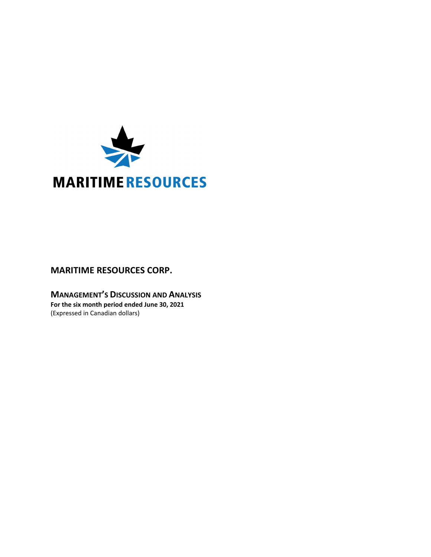

# **MARITIME RESOURCES CORP.**

**MANAGEMENT'S DISCUSSION AND ANALYSIS For the six month period ended June 30, 2021** (Expressed in Canadian dollars)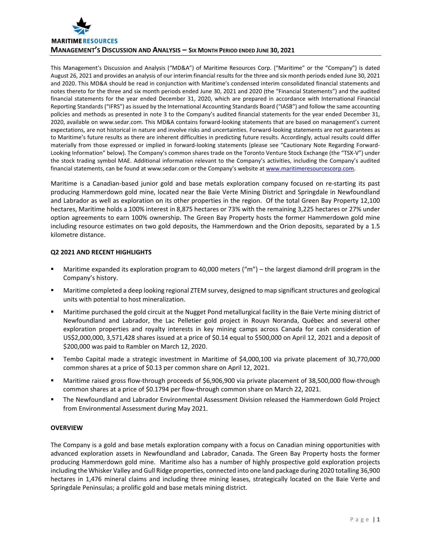

This Management's Discussion and Analysis ("MD&A") of Maritime Resources Corp. ("Maritime" or the "Company") is dated August 26, 2021 and provides an analysis of our interim financial results for the three and six month periods ended June 30, 2021 and 2020. This MD&A should be read in conjunction with Maritime's condensed interim consolidated financial statements and notes thereto for the three and six month periods ended June 30, 2021 and 2020 (the "Financial Statements") and the audited financial statements for the year ended December 31, 2020, which are prepared in accordance with International Financial Reporting Standards ("IFRS") as issued by the International Accounting Standards Board ("IASB") and follow the same accounting policies and methods as presented in note 3 to the Company's audited financial statements for the year ended December 31, 2020, available on www.sedar.com. This MD&A contains forward‐looking statements that are based on management's current expectations, are not historical in nature and involve risks and uncertainties. Forward‐looking statements are not guarantees as to Maritime's future results as there are inherent difficulties in predicting future results. Accordingly, actual results could differ materially from those expressed or implied in forward-looking statements (please see "Cautionary Note Regarding Forward-Looking Information" below). The Company's common shares trade on the Toronto Venture Stock Exchange (the "TSX‐V") under the stock trading symbol MAE. Additional information relevant to the Company's activities, including the Company's audited financial statements, can be found at www.sedar.com or the Company's website at www.maritimeresourcescorp.com.

Maritime is a Canadian‐based junior gold and base metals exploration company focused on re‐starting its past producing Hammerdown gold mine, located near the Baie Verte Mining District and Springdale in Newfoundland and Labrador as well as exploration on its other properties in the region. Of the total Green Bay Property 12,100 hectares, Maritime holds a 100% interest in 8,875 hectares or 73% with the remaining 3,225 hectares or 27% under option agreements to earn 100% ownership. The Green Bay Property hosts the former Hammerdown gold mine including resource estimates on two gold deposits, the Hammerdown and the Orion deposits, separated by a 1.5 kilometre distance.

# **Q2 2021 AND RECENT HIGHLIGHTS**

- Maritime expanded its exploration program to 40,000 meters ("m") the largest diamond drill program in the Company's history.
- Maritime completed a deep looking regional ZTEM survey, designed to map significant structures and geological units with potential to host mineralization.
- Maritime purchased the gold circuit at the Nugget Pond metallurgical facility in the Baie Verte mining district of Newfoundland and Labrador, the Lac Pelletier gold project in Rouyn Noranda, Québec and several other exploration properties and royalty interests in key mining camps across Canada for cash consideration of US\$2,000,000, 3,571,428 shares issued at a price of \$0.14 equal to \$500,000 on April 12, 2021 and a deposit of \$200,000 was paid to Rambler on March 12, 2020.
- Tembo Capital made a strategic investment in Maritime of \$4,000,100 via private placement of 30,770,000 common shares at a price of \$0.13 per common share on April 12, 2021.
- Maritime raised gross flow‐through proceeds of \$6,906,900 via private placement of 38,500,000 flow‐through common shares at a price of \$0.1794 per flow‐through common share on March 22, 2021.
- The Newfoundland and Labrador Environmental Assessment Division released the Hammerdown Gold Project from Environmental Assessment during May 2021.

# **OVERVIEW**

The Company is a gold and base metals exploration company with a focus on Canadian mining opportunities with advanced exploration assets in Newfoundland and Labrador, Canada. The Green Bay Property hosts the former producing Hammerdown gold mine. Maritime also has a number of highly prospective gold exploration projects including the Whisker Valley and Gull Ridge properties, connected into one land package during 2020 totalling 36,900 hectares in 1,476 mineral claims and including three mining leases, strategically located on the Baie Verte and Springdale Peninsulas; a prolific gold and base metals mining district.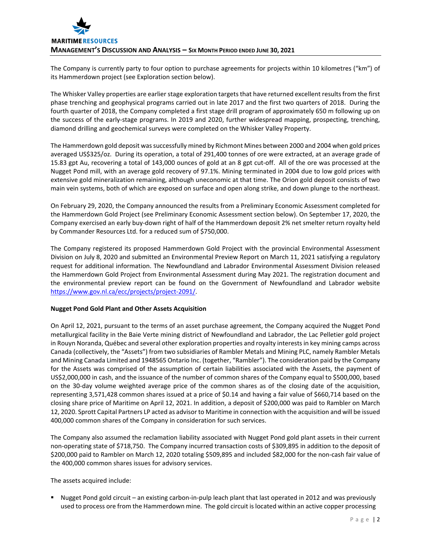

The Company is currently party to four option to purchase agreements for projects within 10 kilometres ("km") of its Hammerdown project (see Exploration section below).

The Whisker Valley properties are earlier stage exploration targets that have returned excellent results from the first phase trenching and geophysical programs carried out in late 2017 and the first two quarters of 2018. During the fourth quarter of 2018, the Company completed a first stage drill program of approximately 650 m following up on the success of the early‐stage programs. In 2019 and 2020, further widespread mapping, prospecting, trenching, diamond drilling and geochemical surveys were completed on the Whisker Valley Property.

The Hammerdown gold deposit wassuccessfully mined by Richmont Mines between 2000 and 2004 when gold prices averaged US\$325/oz. During its operation, a total of 291,400 tonnes of ore were extracted, at an average grade of 15.83 gpt Au, recovering a total of 143,000 ounces of gold at an 8 gpt cut‐off. All of the ore was processed at the Nugget Pond mill, with an average gold recovery of 97.1%. Mining terminated in 2004 due to low gold prices with extensive gold mineralization remaining, although uneconomic at that time. The Orion gold deposit consists of two main vein systems, both of which are exposed on surface and open along strike, and down plunge to the northeast.

On February 29, 2020, the Company announced the results from a Preliminary Economic Assessment completed for the Hammerdown Gold Project (see Preliminary Economic Assessment section below). On September 17, 2020, the Company exercised an early buy‐down right of half of the Hammerdown deposit 2% net smelter return royalty held by Commander Resources Ltd. for a reduced sum of \$750,000.

The Company registered its proposed Hammerdown Gold Project with the provincial Environmental Assessment Division on July 8, 2020 and submitted an Environmental Preview Report on March 11, 2021 satisfying a regulatory request for additional information. The Newfoundland and Labrador Environmental Assessment Division released the Hammerdown Gold Project from Environmental Assessment during May 2021. The registration document and the environmental preview report can be found on the Government of Newfoundland and Labrador website https://www.gov.nl.ca/ecc/projects/project-2091/.

## **Nugget Pond Gold Plant and Other Assets Acquisition**

On April 12, 2021, pursuant to the terms of an asset purchase agreement, the Company acquired the Nugget Pond metallurgical facility in the Baie Verte mining district of Newfoundland and Labrador, the Lac Pelletier gold project in Rouyn Noranda, Québec and several other exploration properties and royalty interestsin key mining camps across Canada (collectively, the "Assets") from two subsidiaries of Rambler Metals and Mining PLC, namely Rambler Metals and Mining Canada Limited and 1948565 Ontario Inc. (together, "Rambler"). The consideration paid by the Company for the Assets was comprised of the assumption of certain liabilities associated with the Assets, the payment of US\$2,000,000 in cash, and the issuance of the number of common shares of the Company equal to \$500,000, based on the 30‐day volume weighted average price of the common shares as of the closing date of the acquisition, representing 3,571,428 common shares issued at a price of \$0.14 and having a fair value of \$660,714 based on the closing share price of Maritime on April 12, 2021. In addition, a deposit of \$200,000 was paid to Rambler on March 12, 2020. Sprott Capital Partners LP acted as advisor to Maritime in connection with the acquisition and will be issued 400,000 common shares of the Company in consideration for such services.

The Company also assumed the reclamation liability associated with Nugget Pond gold plant assets in their current non‐operating state of \$718,750. The Company incurred transaction costs of \$309,895 in addition to the deposit of \$200,000 paid to Rambler on March 12, 2020 totaling \$509,895 and included \$82,000 for the non‐cash fair value of the 400,000 common shares issues for advisory services.

The assets acquired include:

■ Nugget Pond gold circuit – an existing carbon-in-pulp leach plant that last operated in 2012 and was previously used to process ore from the Hammerdown mine. The gold circuit islocated within an active copper processing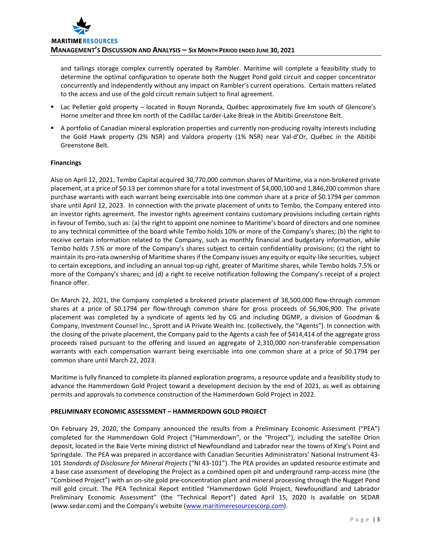and tailings storage complex currently operated by Rambler. Maritime will complete a feasibility study to determine the optimal configuration to operate both the Nugget Pond gold circuit and copper concentrator concurrently and independently without any impact on Rambler's current operations. Certain matters related to the access and use of the gold circuit remain subject to final agreement.

- Lac Pelletier gold property located in Rouyn Noranda, Québec approximately five km south of Glencore's Horne smelter and three km north of the Cadillac Larder‐Lake Break in the Abitibi Greenstone Belt.
- A portfolio of Canadian mineral exploration properties and currently non-producing royalty interests including the Gold Hawk property (2% NSR) and Valdora property (1% NSR) near Val‐d'Or, Québec in the Abitibi Greenstone Belt.

# **Financings**

Also on April 12, 2021, Tembo Capital acquired 30,770,000 common shares of Maritime, via a non‐brokered private placement, at a price of \$0.13 per common share for a total investment of \$4,000,100 and 1,846,200 common share purchase warrants with each warrant being exercisable into one common share at a price of \$0.1794 per common share until April 12, 2023. In connection with the private placement of units to Tembo, the Company entered into an investor rights agreement. The investor rights agreement contains customary provisions including certain rights in favour of Tembo, such as: (a) the right to appoint one nominee to Maritime's board of directors and one nominee to any technical committee of the board while Tembo holds 10% or more of the Company's shares; (b) the right to receive certain information related to the Company, such as monthly financial and budgetary information, while Tembo holds 7.5% or more of the Company's shares subject to certain confidentiality provisions; (c) the right to maintain its pro-rata ownership of Maritime shares if the Company issues any equity or equity-like securities, subject to certain exceptions, and including an annual top‐up right, greater of Maritime shares, while Tembo holds 7.5% or more of the Company's shares; and (d) a right to receive notification following the Company's receipt of a project finance offer.

On March 22, 2021, the Company completed a brokered private placement of 38,500,000 flow‐through common shares at a price of \$0.1794 per flow-through common share for gross proceeds of \$6,906,900. The private placement was completed by a syndicate of agents led by CG and including DGMP, a division of Goodman & Company, Investment Counsel Inc., Sprott and iA Private Wealth Inc. (collectively, the "Agents"). In connection with the closing of the private placement, the Company paid to the Agents a cash fee of \$414,414 of the aggregate gross proceeds raised pursuant to the offering and issued an aggregate of 2,310,000 non-transferable compensation warrants with each compensation warrant being exercisable into one common share at a price of \$0.1794 per common share until March 22, 2023.

Maritime is fully financed to complete its planned exploration programs, a resource update and a feasibility study to advance the Hammerdown Gold Project toward a development decision by the end of 2021, as well as obtaining permits and approvals to commence construction of the Hammerdown Gold Project in 2022.

## **PRELIMINARY ECONOMIC ASSESSMENT – HAMMERDOWN GOLD PROJECT**

On February 29, 2020, the Company announced the results from a Preliminary Economic Assessment ("PEA") completed for the Hammerdown Gold Project ("Hammerdown", or the "Project"), including the satellite Orion deposit, located in the Baie Verte mining district of Newfoundland and Labrador near the towns of King's Point and Springdale. The PEA was prepared in accordance with Canadian Securities Administrators' National Instrument 43‐ 101 *Standards of Disclosure for Mineral Projects* ("NI 43‐101"). The PEA provides an updated resource estimate and a base case assessment of developing the Project as a combined open pit and underground ramp-access mine (the "Combined Project") with an on‐site gold pre‐concentration plant and mineral processing through the Nugget Pond mill gold circuit. The PEA Technical Report entitled "Hammerdown Gold Project, Newfoundland and Labrador Preliminary Economic Assessment" (the "Technical Report") dated April 15, 2020 is available on SEDAR (www.sedar.com) and the Company's website (www.maritimeresourcescorp.com).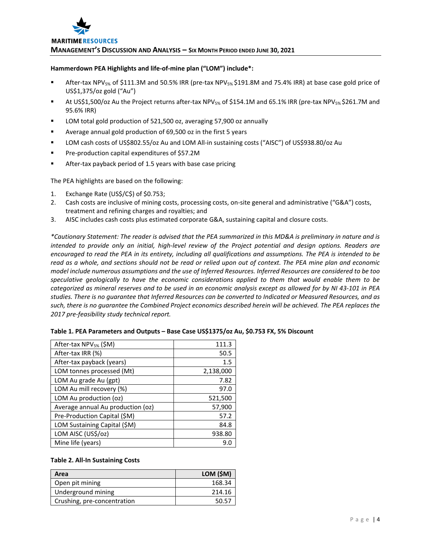

#### **Hammerdown PEA Highlights and life‐of‐mine plan ("LOM") include\*:**

- After-tax NPV<sub>5%</sub> of \$111.3M and 50.5% IRR (pre-tax NPV<sub>5%</sub> \$191.8M and 75.4% IRR) at base case gold price of US\$1,375/oz gold ("Au")
- At US\$1,500/oz Au the Project returns after-tax NPV<sub>5%</sub> of \$154.1M and 65.1% IRR (pre-tax NPV<sub>5%</sub> \$261.7M and 95.6% IRR)
- LOM total gold production of 521,500 oz, averaging 57,900 oz annually
- Average annual gold production of 69,500 oz in the first 5 years
- LOM cash costs of US\$802.55/oz Au and LOM All-in sustaining costs ("AISC") of US\$938.80/oz Au
- Pre-production capital expenditures of \$57.2M
- After-tax payback period of 1.5 years with base case pricing

The PEA highlights are based on the following:

- 1. Exchange Rate (US\$/C\$) of \$0.753;
- 2. Cash costs are inclusive of mining costs, processing costs, on-site general and administrative ("G&A") costs, treatment and refining charges and royalties; and
- 3. AISC includes cash costs plus estimated corporate G&A, sustaining capital and closure costs.

\*Cautionary Statement: The reader is advised that the PEA summarized in this MD&A is preliminary in nature and is intended to provide only an initial, high-level review of the Project potential and design options. Readers are encouraged to read the PEA in its entirety, including all qualifications and assumptions. The PEA is intended to be read as a whole, and sections should not be read or relied upon out of context. The PEA mine plan and economic model include numerous assumptions and the use of Inferred Resources. Inferred Resources are considered to be too *speculative geologically to have the economic considerations applied to them that would enable them to be* categorized as mineral reserves and to be used in an economic analysis except as allowed for by NI 43-101 in PEA studies. There is no quarantee that Inferred Resources can be converted to Indicated or Measured Resources, and as such, there is no guarantee the Combined Project economics described herein will be achieved. The PEA replaces the *2017 pre‐feasibility study technical report.*

| After-tax NPV <sub>5%</sub> (\$M) | 111.3     |
|-----------------------------------|-----------|
| After-tax IRR (%)                 | 50.5      |
| After-tax payback (years)         | 1.5       |
| LOM tonnes processed (Mt)         | 2,138,000 |
| LOM Au grade Au (gpt)             | 7.82      |
| LOM Au mill recovery (%)          | 97.0      |
| LOM Au production (oz)            | 521,500   |
| Average annual Au production (oz) | 57,900    |
| Pre-Production Capital (\$M)      | 57.2      |
| LOM Sustaining Capital (\$M)      | 84.8      |
| LOM AISC (US\$/oz)                | 938.80    |
| Mine life (years)                 | 9.0       |

| Table 1. PEA Parameters and Outputs - Base Case US\$1375/oz Au, \$0.753 FX, 5% Discount |  |  |
|-----------------------------------------------------------------------------------------|--|--|
|-----------------------------------------------------------------------------------------|--|--|

## **Table 2. All‐In Sustaining Costs**

| Area                        | LOM (\$M) |
|-----------------------------|-----------|
| Open pit mining             | 168.34    |
| Underground mining          | 214.16    |
| Crushing, pre-concentration | 50.57     |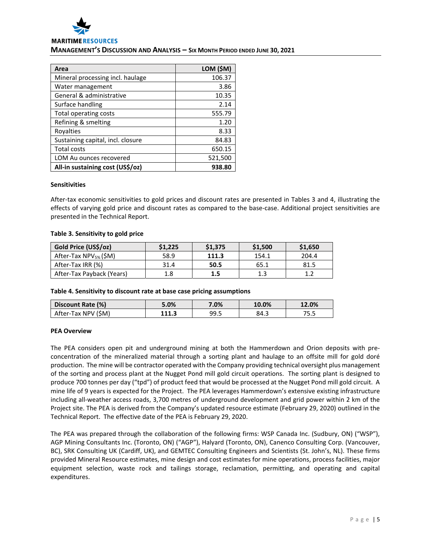

# **MANAGEMENT'S DISCUSSION AND ANALYSIS – SIX MONTH PERIOD ENDED JUNE 30, 2021**

| Area                              | LOM (\$M) |
|-----------------------------------|-----------|
| Mineral processing incl. haulage  | 106.37    |
| Water management                  | 3.86      |
| General & administrative          | 10.35     |
| Surface handling                  | 2.14      |
| Total operating costs             | 555.79    |
| Refining & smelting               | 1.20      |
| Royalties                         | 8.33      |
| Sustaining capital, incl. closure | 84.83     |
| <b>Total costs</b>                | 650.15    |
| LOM Au ounces recovered           | 521,500   |
| All-in sustaining cost (US\$/oz)  | 938.80    |

#### **Sensitivities**

After-tax economic sensitivities to gold prices and discount rates are presented in Tables 3 and 4, illustrating the effects of varying gold price and discount rates as compared to the base-case. Additional project sensitivities are presented in the Technical Report.

## **Table 3. Sensitivity to gold price**

| Gold Price (US\$/oz)              | \$1.225 | \$1,375 | \$1,500 | \$1,650 |
|-----------------------------------|---------|---------|---------|---------|
| After-Tax NPV <sub>5%</sub> (\$M) | 58.9    | 111.3   | 154.1   | 204.4   |
| After-Tax IRR (%)                 | 31.4    | 50.5    | 65.1    | 81.5    |
| After-Tax Payback (Years)         | 1.8     | 1.5     | 1.3     | າລ      |

#### **Table 4. Sensitivity to discount rate at base case pricing assumptions**

| Discount Rate (%)   | 5.0%  | 7.0% | 10.0% | 12.0% |
|---------------------|-------|------|-------|-------|
| After-Tax NPV (\$M) | 111.3 | 99.5 | 84.3  | ر . ب |

## **PEA Overview**

The PEA considers open pit and underground mining at both the Hammerdown and Orion deposits with pre‐ concentration of the mineralized material through a sorting plant and haulage to an offsite mill for gold doré production. The mine will be contractor operated with the Company providing technical oversight plus management of the sorting and process plant at the Nugget Pond mill gold circuit operations. The sorting plant is designed to produce 700 tonnes per day ("tpd") of product feed that would be processed at the Nugget Pond mill gold circuit. A mine life of 9 years is expected for the Project. The PEA leverages Hammerdown's extensive existing infrastructure including all‐weather access roads, 3,700 metres of underground development and grid power within 2 km of the Project site. The PEA is derived from the Company's updated resource estimate (February 29, 2020) outlined in the Technical Report. The effective date of the PEA is February 29, 2020.

The PEA was prepared through the collaboration of the following firms: WSP Canada Inc. (Sudbury, ON) ("WSP"), AGP Mining Consultants Inc. (Toronto, ON) ("AGP"), Halyard (Toronto, ON), Canenco Consulting Corp. (Vancouver, BC), SRK Consulting UK (Cardiff, UK), and GEMTEC Consulting Engineers and Scientists (St. John's, NL). These firms provided Mineral Resource estimates, mine design and cost estimates for mine operations, process facilities, major equipment selection, waste rock and tailings storage, reclamation, permitting, and operating and capital expenditures.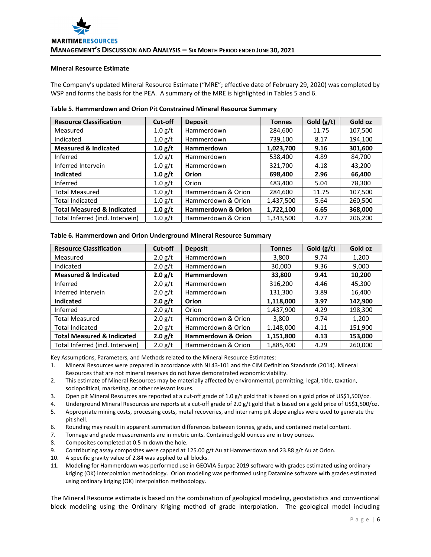#### **Mineral Resource Estimate**

The Company's updated Mineral Resource Estimate ("MRE"; effective date of February 29, 2020) was completed by WSP and forms the basis for the PEA. A summary of the MRE is highlighted in Tables 5 and 6.

| <b>Resource Classification</b>        | Cut-off   | <b>Deposit</b>                | <b>Tonnes</b> | Gold $(g/t)$ | Gold oz |
|---------------------------------------|-----------|-------------------------------|---------------|--------------|---------|
| Measured                              | 1.0 g/t   | Hammerdown                    | 284,600       | 11.75        | 107,500 |
| Indicated                             | 1.0 g/t   | Hammerdown                    | 739,100       | 8.17         | 194,100 |
| <b>Measured &amp; Indicated</b>       | 1.0 g/t   | <b>Hammerdown</b>             | 1,023,700     | 9.16         | 301,600 |
| Inferred                              | 1.0 g/t   | Hammerdown                    | 538,400       | 4.89         | 84,700  |
| Inferred Intervein                    | 1.0 g/t   | Hammerdown                    | 321,700       | 4.18         | 43,200  |
| <b>Indicated</b>                      | 1.0 g/t   | Orion                         | 698,400       | 2.96         | 66,400  |
| Inferred                              | 1.0 g/t   | Orion                         | 483,400       | 5.04         | 78,300  |
| <b>Total Measured</b>                 | 1.0 g/t   | Hammerdown & Orion            | 284,600       | 11.75        | 107,500 |
| <b>Total Indicated</b>                | 1.0 g/t   | Hammerdown & Orion            | 1,437,500     | 5.64         | 260,500 |
| <b>Total Measured &amp; Indicated</b> | 1.0 g/t   | <b>Hammerdown &amp; Orion</b> | 1,722,100     | 6.65         | 368,000 |
| Total Inferred (incl. Intervein)      | $1.0$ g/t | Hammerdown & Orion            | 1,343,500     | 4.77         | 206,200 |

#### **Table 6. Hammerdown and Orion Underground Mineral Resource Summary**

| <b>Resource Classification</b>        | Cut-off   | <b>Deposit</b>                | <b>Tonnes</b> | Gold $(g/t)$ | Gold oz |
|---------------------------------------|-----------|-------------------------------|---------------|--------------|---------|
| Measured                              | $2.0$ g/t | <b>Hammerdown</b>             | 3,800         | 9.74         | 1,200   |
| Indicated                             | $2.0$ g/t | Hammerdown                    | 30,000        | 9.36         | 9,000   |
| <b>Measured &amp; Indicated</b>       | 2.0 g/t   | <b>Hammerdown</b>             | 33,800        | 9.41         | 10,200  |
| Inferred                              | 2.0 g/t   | Hammerdown                    | 316,200       | 4.46         | 45,300  |
| Inferred Intervein                    | $2.0$ g/t | <b>Hammerdown</b>             | 131,300       | 3.89         | 16,400  |
| <b>Indicated</b>                      | 2.0 g/t   | Orion                         | 1,118,000     | 3.97         | 142.900 |
| Inferred                              | 2.0 g/t   | Orion                         | 1,437,900     | 4.29         | 198,300 |
| <b>Total Measured</b>                 | 2.0 g/t   | Hammerdown & Orion            | 3,800         | 9.74         | 1,200   |
| <b>Total Indicated</b>                | 2.0 g/t   | Hammerdown & Orion            | 1,148,000     | 4.11         | 151,900 |
| <b>Total Measured &amp; Indicated</b> | 2.0 g/t   | <b>Hammerdown &amp; Orion</b> | 1,151,800     | 4.13         | 153,000 |
| Total Inferred (incl. Intervein)      | 2.0 g/t   | Hammerdown & Orion            | 1,885,400     | 4.29         | 260,000 |

Key Assumptions, Parameters, and Methods related to the Mineral Resource Estimates:

1. Mineral Resources were prepared in accordance with NI 43‐101 and the CIM Definition Standards (2014). Mineral Resources that are not mineral reserves do not have demonstrated economic viability.

- 2. This estimate of Mineral Resources may be materially affected by environmental, permitting, legal, title, taxation, sociopolitical, marketing, or other relevant issues.
- 3. Open pit Mineral Resources are reported at a cut-off grade of 1.0 g/t gold that is based on a gold price of US\$1,500/oz.

4. Underground Mineral Resources are reports at a cut-off grade of 2.0 g/t gold that is based on a gold price of US\$1,500/oz.

- 5. Appropriate mining costs, processing costs, metal recoveries, and inter ramp pit slope angles were used to generate the pit shell.
- 6. Rounding may result in apparent summation differences between tonnes, grade, and contained metal content.
- 7. Tonnage and grade measurements are in metric units. Contained gold ounces are in troy ounces.
- 8. Composites completed at 0.5 m down the hole.
- 9. Contributing assay composites were capped at 125.00 g/t Au at Hammerdown and 23.88 g/t Au at Orion.
- 10. A specific gravity value of 2.84 was applied to all blocks.
- 11. Modeling for Hammerdown was performed use in GEOVIA Surpac 2019 software with grades estimated using ordinary kriging (OK) interpolation methodology. Orion modeling was performed using Datamine software with grades estimated using ordinary kriging (OK) interpolation methodology.

The Mineral Resource estimate is based on the combination of geological modeling, geostatistics and conventional block modeling using the Ordinary Kriging method of grade interpolation. The geological model including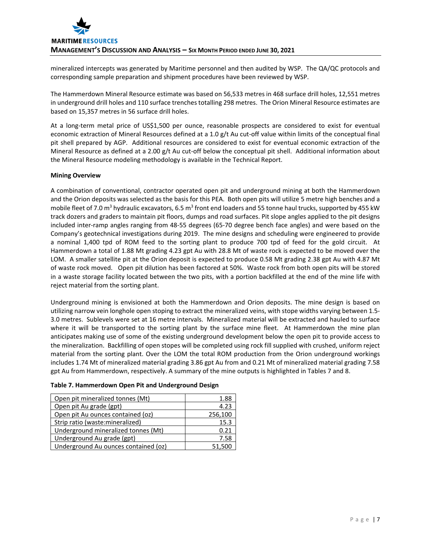mineralized intercepts was generated by Maritime personnel and then audited by WSP. The QA/QC protocols and corresponding sample preparation and shipment procedures have been reviewed by WSP.

The Hammerdown Mineral Resource estimate was based on 56,533 metres in 468 surface drill holes, 12,551 metres in underground drill holes and 110 surface trenches totalling 298 metres. The Orion Mineral Resource estimates are based on 15,357 metres in 56 surface drill holes.

At a long‐term metal price of US\$1,500 per ounce, reasonable prospects are considered to exist for eventual economic extraction of Mineral Resources defined at a 1.0 g/t Au cut-off value within limits of the conceptual final pit shell prepared by AGP. Additional resources are considered to exist for eventual economic extraction of the Mineral Resource as defined at a 2.00 g/t Au cut-off below the conceptual pit shell. Additional information about the Mineral Resource modeling methodology is available in the Technical Report.

# **Mining Overview**

A combination of conventional, contractor operated open pit and underground mining at both the Hammerdown and the Orion deposits was selected as the basis for this PEA. Both open pits will utilize 5 metre high benches and a mobile fleet of 7.0 m<sup>3</sup> hydraulic excavators, 6.5 m<sup>3</sup> front end loaders and 55 tonne haul trucks, supported by 455 kW track dozers and graders to maintain pit floors, dumps and road surfaces. Pit slope angles applied to the pit designs included inter‐ramp angles ranging from 48‐55 degrees (65‐70 degree bench face angles) and were based on the Company's geotechnical investigations during 2019. The mine designs and scheduling were engineered to provide a nominal 1,400 tpd of ROM feed to the sorting plant to produce 700 tpd of feed for the gold circuit. At Hammerdown a total of 1.88 Mt grading 4.23 gpt Au with 28.8 Mt of waste rock is expected to be moved over the LOM. A smaller satellite pit at the Orion deposit is expected to produce 0.58 Mt grading 2.38 gpt Au with 4.87 Mt of waste rock moved. Open pit dilution has been factored at 50%. Waste rock from both open pits will be stored in a waste storage facility located between the two pits, with a portion backfilled at the end of the mine life with reject material from the sorting plant.

Underground mining is envisioned at both the Hammerdown and Orion deposits. The mine design is based on utilizing narrow vein longhole open stoping to extract the mineralized veins, with stope widths varying between 1.5‐ 3.0 metres. Sublevels were set at 16 metre intervals. Mineralized material will be extracted and hauled to surface where it will be transported to the sorting plant by the surface mine fleet. At Hammerdown the mine plan anticipates making use of some of the existing underground development below the open pit to provide access to the mineralization. Backfilling of open stopes will be completed using rock fill supplied with crushed, uniform reject material from the sorting plant. Over the LOM the total ROM production from the Orion underground workings includes 1.74 Mt of mineralized material grading 3.86 gpt Au from and 0.21 Mt of mineralized material grading 7.58 gpt Au from Hammerdown, respectively. A summary of the mine outputs is highlighted in Tables 7 and 8.

| Open pit mineralized tonnes (Mt)     | 1.88    |
|--------------------------------------|---------|
| Open pit Au grade (gpt)              | 4.23    |
| Open pit Au ounces contained (oz)    | 256,100 |
| Strip ratio (waste: mineralized)     | 15.3    |
| Underground mineralized tonnes (Mt)  | 0.21    |
| Underground Au grade (gpt)           | 7.58    |
| Underground Au ounces contained (oz) | 51.500  |

# **Table 7. Hammerdown Open Pit and Underground Design**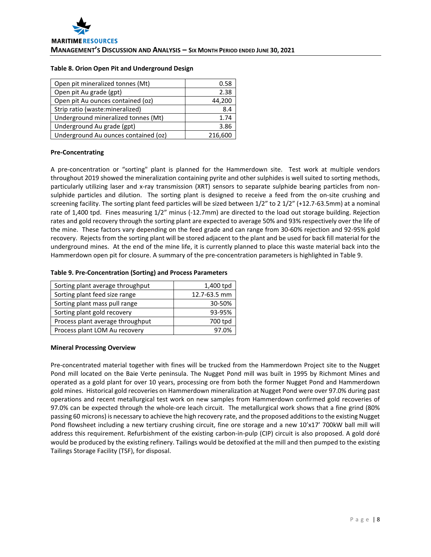## **Table 8. Orion Open Pit and Underground Design**

| Open pit mineralized tonnes (Mt)     | 0.58    |
|--------------------------------------|---------|
| Open pit Au grade (gpt)              | 2.38    |
| Open pit Au ounces contained (oz)    | 44,200  |
| Strip ratio (waste: mineralized)     | 8.4     |
| Underground mineralized tonnes (Mt)  | 1.74    |
| Underground Au grade (gpt)           | 3.86    |
| Underground Au ounces contained (oz) | 216,600 |

# **Pre‐Concentrating**

A pre-concentration or "sorting" plant is planned for the Hammerdown site. Test work at multiple vendors throughout 2019 showed the mineralization containing pyrite and other sulphides is well suited to sorting methods, particularly utilizing laser and x‐ray transmission (XRT) sensors to separate sulphide bearing particles from non‐ sulphide particles and dilution. The sorting plant is designed to receive a feed from the on-site crushing and screening facility. The sorting plant feed particles will be sized between  $1/2$ " to 2  $1/2$ " (+12.7-63.5mm) at a nominal rate of 1,400 tpd. Fines measuring 1/2" minus (-12.7mm) are directed to the load out storage building. Rejection rates and gold recovery through the sorting plant are expected to average 50% and 93% respectively over the life of the mine. These factors vary depending on the feed grade and can range from 30‐60% rejection and 92‐95% gold recovery. Rejects from the sorting plant will be stored adjacent to the plant and be used for back fill material for the underground mines. At the end of the mine life, it is currently planned to place this waste material back into the Hammerdown open pit for closure. A summary of the pre‐concentration parameters is highlighted in Table 9.

# **Table 9. Pre‐Concentration (Sorting) and Process Parameters**

| Sorting plant average throughput | 1,400 tpd    |
|----------------------------------|--------------|
| Sorting plant feed size range    | 12.7-63.5 mm |
| Sorting plant mass pull range    | 30-50%       |
| Sorting plant gold recovery      | 93-95%       |
| Process plant average throughput | 700 tpd      |
| Process plant LOM Au recovery    | 97.0%        |

# **Mineral Processing Overview**

Pre‐concentrated material together with fines will be trucked from the Hammerdown Project site to the Nugget Pond mill located on the Baie Verte peninsula. The Nugget Pond mill was built in 1995 by Richmont Mines and operated as a gold plant for over 10 years, processing ore from both the former Nugget Pond and Hammerdown gold mines. Historical gold recoveries on Hammerdown mineralization at Nugget Pond were over 97.0% during past operations and recent metallurgical test work on new samples from Hammerdown confirmed gold recoveries of 97.0% can be expected through the whole-ore leach circuit. The metallurgical work shows that a fine grind (80% passing 60 microns) is necessary to achieve the high recovery rate, and the proposed additions to the existing Nugget Pond flowsheet including a new tertiary crushing circuit, fine ore storage and a new 10'x17' 700kW ball mill will address this requirement. Refurbishment of the existing carbon-in-pulp (CIP) circuit is also proposed. A gold doré would be produced by the existing refinery. Tailings would be detoxified at the mill and then pumped to the existing Tailings Storage Facility (TSF), for disposal.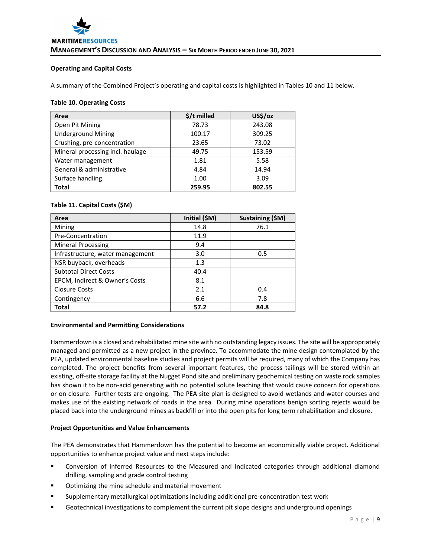## **Operating and Capital Costs**

A summary of the Combined Project's operating and capital costs is highlighted in Tables 10 and 11 below.

## **Table 10. Operating Costs**

| Area                             | $$/t$ milled | US\$/oz |
|----------------------------------|--------------|---------|
| Open Pit Mining                  | 78.73        | 243.08  |
| <b>Underground Mining</b>        | 100.17       | 309.25  |
| Crushing, pre-concentration      | 23.65        | 73.02   |
| Mineral processing incl. haulage | 49.75        | 153.59  |
| Water management                 | 1.81         | 5.58    |
| General & administrative         | 4.84         | 14.94   |
| Surface handling                 | 1.00         | 3.09    |
| <b>Total</b>                     | 259.95       | 802.55  |

# **Table 11. Capital Costs (\$M)**

| Area                             | Initial (\$M) | Sustaining (\$M) |
|----------------------------------|---------------|------------------|
| Mining                           | 14.8          | 76.1             |
| Pre-Concentration                | 11.9          |                  |
| <b>Mineral Processing</b>        | 9.4           |                  |
| Infrastructure, water management | 3.0           | 0.5              |
| NSR buyback, overheads           | 1.3           |                  |
| <b>Subtotal Direct Costs</b>     | 40.4          |                  |
| EPCM, Indirect & Owner's Costs   | 8.1           |                  |
| <b>Closure Costs</b>             | 2.1           | 0.4              |
| Contingency                      | 6.6           | 7.8              |
| Total                            | 57.2          | 84.8             |

## **Environmental and Permitting Considerations**

Hammerdown is a closed and rehabilitated mine site with no outstanding legacy issues. The site will be appropriately managed and permitted as a new project in the province. To accommodate the mine design contemplated by the PEA, updated environmental baseline studies and project permits will be required, many of which the Company has completed. The project benefits from several important features, the process tailings will be stored within an existing, off‐site storage facility at the Nugget Pond site and preliminary geochemical testing on waste rock samples has shown it to be non-acid generating with no potential solute leaching that would cause concern for operations or on closure. Further tests are ongoing. The PEA site plan is designed to avoid wetlands and water courses and makes use of the existing network of roads in the area. During mine operations benign sorting rejects would be placed back into the underground mines as backfill or into the open pits for long term rehabilitation and closure**.** 

## **Project Opportunities and Value Enhancements**

The PEA demonstrates that Hammerdown has the potential to become an economically viable project. Additional opportunities to enhance project value and next steps include:

- Conversion of Inferred Resources to the Measured and Indicated categories through additional diamond drilling, sampling and grade control testing
- Optimizing the mine schedule and material movement
- Supplementary metallurgical optimizations including additional pre‐concentration test work
- Geotechnical investigations to complement the current pit slope designs and underground openings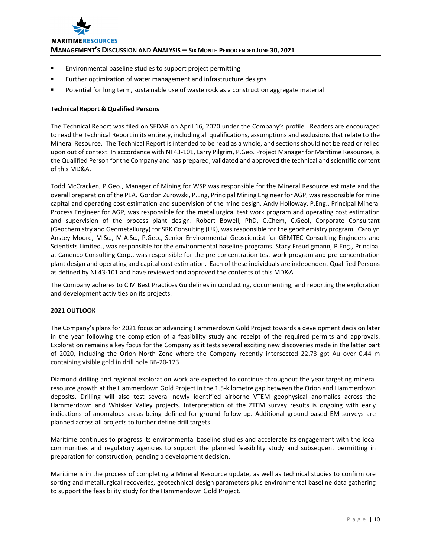

- **Environmental baseline studies to support project permitting**
- **Further optimization of water management and infrastructure designs**
- Potential for long term, sustainable use of waste rock as a construction aggregate material

## **Technical Report & Qualified Persons**

The Technical Report was filed on SEDAR on April 16, 2020 under the Company's profile. Readers are encouraged to read the Technical Report in its entirety, including all qualifications, assumptions and exclusions that relate to the Mineral Resource. The Technical Report is intended to be read as a whole, and sections should not be read or relied upon out of context. In accordance with NI 43-101, Larry Pilgrim, P.Geo. Project Manager for Maritime Resources, is the Qualified Person for the Company and has prepared, validated and approved the technical and scientific content of this MD&A.

Todd McCracken, P.Geo., Manager of Mining for WSP was responsible for the Mineral Resource estimate and the overall preparation of the PEA. Gordon Zurowski, P.Eng, Principal Mining Engineer for AGP, wasresponsible for mine capital and operating cost estimation and supervision of the mine design. Andy Holloway, P.Eng., Principal Mineral Process Engineer for AGP, was responsible for the metallurgical test work program and operating cost estimation and supervision of the process plant design. Robert Bowell, PhD, C.Chem, C.Geol, Corporate Consultant (Geochemistry and Geometallurgy) for SRK Consulting (UK), was responsible for the geochemistry program. Carolyn Anstey‐Moore, M.Sc., M.A.Sc., P.Geo., Senior Environmental Geoscientist for GEMTEC Consulting Engineers and Scientists Limited., was responsible for the environmental baseline programs. Stacy Freudigmann, P.Eng., Principal at Canenco Consulting Corp., was responsible for the pre‐concentration test work program and pre‐concentration plant design and operating and capital cost estimation. Each of these individuals are independent Qualified Persons as defined by NI 43‐101 and have reviewed and approved the contents of this MD&A.

The Company adheres to CIM Best Practices Guidelines in conducting, documenting, and reporting the exploration and development activities on its projects.

## **2021 OUTLOOK**

The Company's plans for 2021 focus on advancing Hammerdown Gold Project towards a development decision later in the year following the completion of a feasibility study and receipt of the required permits and approvals. Exploration remains a key focus for the Company as it tests several exciting new discoveries made in the latter part of 2020, including the Orion North Zone where the Company recently intersected 22.73 gpt Au over 0.44 m containing visible gold in drill hole BB‐20‐123.

Diamond drilling and regional exploration work are expected to continue throughout the year targeting mineral resource growth at the Hammerdown Gold Project in the 1.5‐kilometre gap between the Orion and Hammerdown deposits. Drilling will also test several newly identified airborne VTEM geophysical anomalies across the Hammerdown and Whisker Valley projects. Interpretation of the ZTEM survey results is ongoing with early indications of anomalous areas being defined for ground follow-up. Additional ground-based EM surveys are planned across all projects to further define drill targets.

Maritime continues to progress its environmental baseline studies and accelerate its engagement with the local communities and regulatory agencies to support the planned feasibility study and subsequent permitting in preparation for construction, pending a development decision.

Maritime is in the process of completing a Mineral Resource update, as well as technical studies to confirm ore sorting and metallurgical recoveries, geotechnical design parameters plus environmental baseline data gathering to support the feasibility study for the Hammerdown Gold Project.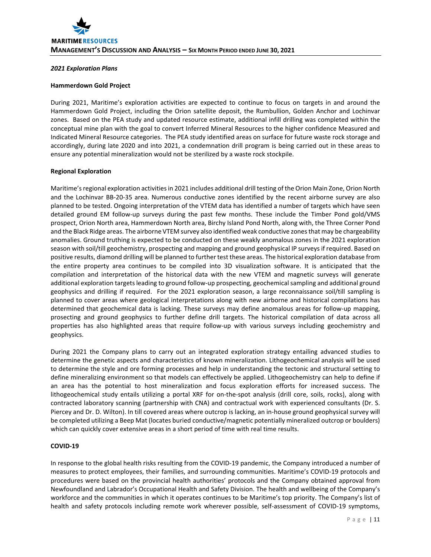### *2021 Exploration Plans*

#### **Hammerdown Gold Project**

During 2021, Maritime's exploration activities are expected to continue to focus on targets in and around the Hammerdown Gold Project, including the Orion satellite deposit, the Rumbullion, Golden Anchor and Lochinvar zones. Based on the PEA study and updated resource estimate, additional infill drilling was completed within the conceptual mine plan with the goal to convert Inferred Mineral Resources to the higher confidence Measured and Indicated Mineral Resource categories. The PEA study identified areas on surface for future waste rock storage and accordingly, during late 2020 and into 2021, a condemnation drill program is being carried out in these areas to ensure any potential mineralization would not be sterilized by a waste rock stockpile.

#### **Regional Exploration**

Maritime's regional exploration activities in 2021 includes additional drill testing of the Orion Main Zone, Orion North and the Lochinvar BB‐20‐35 area. Numerous conductive zones identified by the recent airborne survey are also planned to be tested. Ongoing interpretation of the VTEM data has identified a number of targets which have seen detailed ground EM follow-up surveys during the past few months. These include the Timber Pond gold/VMS prospect, Orion North area, Hammerdown North area, Birchy Island Pond North, along with, the Three Corner Pond and the Black Ridge areas. The airborne VTEM survey also identified weak conductive zonesthat may be chargeability anomalies. Ground truthing is expected to be conducted on these weakly anomalous zones in the 2021 exploration season with soil/till geochemistry, prospecting and mapping and ground geophysical IP surveys if required. Based on positive results, diamond drilling will be planned to further test these areas. The historical exploration database from the entire property area continues to be compiled into 3D visualization software. It is anticipated that the compilation and interpretation of the historical data with the new VTEM and magnetic surveys will generate additional exploration targets leading to ground follow-up prospecting, geochemical sampling and additional ground geophysics and drilling if required. For the 2021 exploration season, a large reconnaissance soil/till sampling is planned to cover areas where geological interpretations along with new airborne and historical compilations has determined that geochemical data is lacking. These surveys may define anomalous areas for follow‐up mapping, prosecting and ground geophysics to further define drill targets. The historical compilation of data across all properties has also highlighted areas that require follow-up with various surveys including geochemistry and geophysics.

During 2021 the Company plans to carry out an integrated exploration strategy entailing advanced studies to determine the genetic aspects and characteristics of known mineralization. Lithogeochemical analysis will be used to determine the style and ore forming processes and help in understanding the tectonic and structural setting to define mineralizing environment so that models can effectively be applied. Lithogeochemistry can help to define if an area has the potential to host mineralization and focus exploration efforts for increased success. The lithogeochemical study entails utilizing a portal XRF for on-the-spot analysis (drill core, soils, rocks), along with contracted laboratory scanning (partnership with CNA) and contractual work with experienced consultants (Dr. S. Piercey and Dr. D. Wilton). In till covered areas where outcrop is lacking, an in‐house ground geophysical survey will be completed utilizing a Beep Mat (locates buried conductive/magnetic potentially mineralized outcrop or boulders) which can quickly cover extensive areas in a short period of time with real time results.

# **COVID‐19**

In response to the global health risks resulting from the COVID‐19 pandemic, the Company introduced a number of measures to protect employees, their families, and surrounding communities. Maritime's COVID‐19 protocols and procedures were based on the provincial health authorities' protocols and the Company obtained approval from Newfoundland and Labrador's Occupational Health and Safety Division. The health and wellbeing of the Company's workforce and the communities in which it operates continues to be Maritime's top priority. The Company's list of health and safety protocols including remote work wherever possible, self-assessment of COVID-19 symptoms,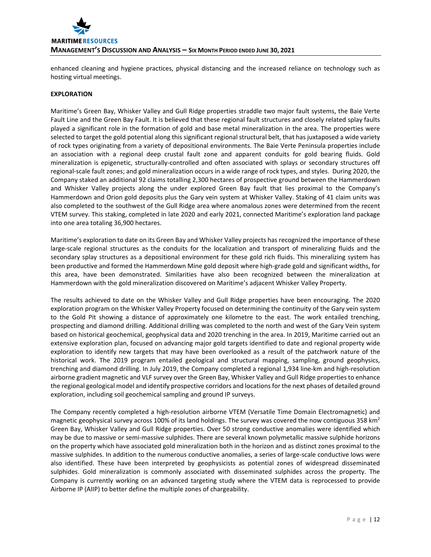

enhanced cleaning and hygiene practices, physical distancing and the increased reliance on technology such as hosting virtual meetings.

## **EXPLORATION**

Maritime's Green Bay, Whisker Valley and Gull Ridge properties straddle two major fault systems, the Baie Verte Fault Line and the Green Bay Fault. It is believed that these regional fault structures and closely related splay faults played a significant role in the formation of gold and base metal mineralization in the area. The properties were selected to target the gold potential along this significant regional structural belt, that has juxtaposed a wide variety of rock types originating from a variety of depositional environments. The Baie Verte Peninsula properties include an association with a regional deep crustal fault zone and apparent conduits for gold bearing fluids. Gold mineralization is epigenetic, structurally‐controlled and often associated with splays or secondary structures off regional‐scale fault zones; and gold mineralization occurs in a wide range of rock types, and styles. During 2020, the Company staked an additional 92 claims totalling 2,300 hectares of prospective ground between the Hammerdown and Whisker Valley projects along the under explored Green Bay fault that lies proximal to the Company's Hammerdown and Orion gold deposits plus the Gary vein system at Whisker Valley. Staking of 41 claim units was also completed to the southwest of the Gull Ridge area where anomalous zones were determined from the recent VTEM survey. This staking, completed in late 2020 and early 2021, connected Maritime's exploration land package into one area totaling 36,900 hectares.

Maritime's exploration to date on its Green Bay and Whisker Valley projects has recognized the importance of these large‐scale regional structures as the conduits for the localization and transport of mineralizing fluids and the secondary splay structures as a depositional environment for these gold rich fluids. This mineralizing system has been productive and formed the Hammerdown Mine gold deposit where high‐grade gold and significant widths, for this area, have been demonstrated. Similarities have also been recognized between the mineralization at Hammerdown with the gold mineralization discovered on Maritime's adjacent Whisker Valley Property.

The results achieved to date on the Whisker Valley and Gull Ridge properties have been encouraging. The 2020 exploration program on the Whisker Valley Property focused on determining the continuity of the Gary vein system to the Gold Pit showing a distance of approximately one kilometre to the east. The work entailed trenching, prospecting and diamond drilling. Additional drilling was completed to the north and west of the Gary Vein system based on historical geochemical, geophysical data and 2020 trenching in the area. In 2019, Maritime carried out an extensive exploration plan, focused on advancing major gold targets identified to date and regional property wide exploration to identify new targets that may have been overlooked as a result of the patchwork nature of the historical work. The 2019 program entailed geological and structural mapping, sampling, ground geophysics, trenching and diamond drilling. In July 2019, the Company completed a regional 1,934 line‐km and high‐resolution airborne gradient magnetic and VLF survey over the Green Bay, Whisker Valley and Gull Ridge properties to enhance the regional geological model and identify prospective corridors and locationsfor the next phases of detailed ground exploration, including soil geochemical sampling and ground IP surveys.

The Company recently completed a high-resolution airborne VTEM (Versatile Time Domain Electromagnetic) and magnetic geophysical survey across 100% of its land holdings. The survey was covered the now contiguous 358  $km^2$ Green Bay, Whisker Valley and Gull Ridge properties. Over 50 strong conductive anomalies were identified which may be due to massive or semi‐massive sulphides. There are several known polymetallic massive sulphide horizons on the property which have associated gold mineralization both in the horizon and as distinct zones proximal to the massive sulphides. In addition to the numerous conductive anomalies, a series of large‐scale conductive lows were also identified. These have been interpreted by geophysicists as potential zones of widespread disseminated sulphides. Gold mineralization is commonly associated with disseminated sulphides across the property. The Company is currently working on an advanced targeting study where the VTEM data is reprocessed to provide Airborne IP (AIIP) to better define the multiple zones of chargeability.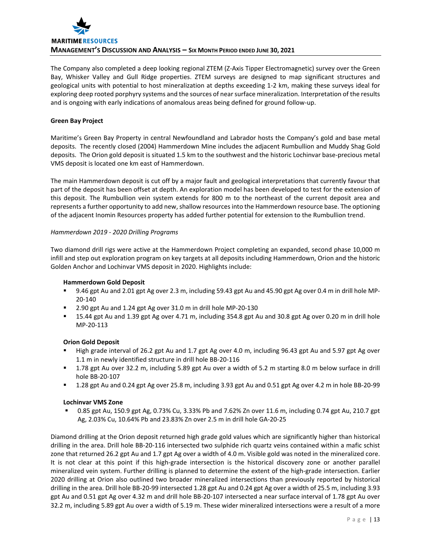

The Company also completed a deep looking regional ZTEM (Z‐Axis Tipper Electromagnetic) survey over the Green Bay, Whisker Valley and Gull Ridge properties. ZTEM surveys are designed to map significant structures and geological units with potential to host mineralization at depths exceeding 1‐2 km, making these surveys ideal for exploring deep rooted porphyry systems and the sources of near surface mineralization. Interpretation of the results and is ongoing with early indications of anomalous areas being defined for ground follow‐up.

# **Green Bay Project**

Maritime's Green Bay Property in central Newfoundland and Labrador hosts the Company's gold and base metal deposits. The recently closed (2004) Hammerdown Mine includes the adjacent Rumbullion and Muddy Shag Gold deposits. The Orion gold deposit is situated 1.5 km to the southwest and the historic Lochinvar base-precious metal VMS deposit is located one km east of Hammerdown.

The main Hammerdown deposit is cut off by a major fault and geological interpretations that currently favour that part of the deposit has been offset at depth. An exploration model has been developed to test for the extension of this deposit. The Rumbullion vein system extends for 800 m to the northeast of the current deposit area and represents a further opportunity to add new, shallow resources into the Hammerdown resource base. The optioning of the adjacent Inomin Resources property has added further potential for extension to the Rumbullion trend.

# *Hammerdown 2019 ‐ 2020 Drilling Programs*

Two diamond drill rigs were active at the Hammerdown Project completing an expanded, second phase 10,000 m infill and step out exploration program on key targets at all deposits including Hammerdown, Orion and the historic Golden Anchor and Lochinvar VMS deposit in 2020. Highlights include:

## **Hammerdown Gold Deposit**

- 9.46 gpt Au and 2.01 gpt Ag over 2.3 m, including 59.43 gpt Au and 45.90 gpt Ag over 0.4 m in drill hole MP-20‐140
- 2.90 gpt Au and 1.24 gpt Ag over 31.0 m in drill hole MP‐20‐130
- 15.44 gpt Au and 1.39 gpt Ag over 4.71 m, including 354.8 gpt Au and 30.8 gpt Ag over 0.20 m in drill hole MP‐20‐113

# **Orion Gold Deposit**

- High grade interval of 26.2 gpt Au and 1.7 gpt Ag over 4.0 m, including 96.43 gpt Au and 5.97 gpt Ag over 1.1 m in newly identified structure in drill hole BB‐20‐116
- 1.78 gpt Au over 32.2 m, including 5.89 gpt Au over a width of 5.2 m starting 8.0 m below surface in drill hole BB‐20‐107
- 1.28 gpt Au and 0.24 gpt Ag over 25.8 m, including 3.93 gpt Au and 0.51 gpt Ag over 4.2 m in hole BB‐20‐99

## **Lochinvar VMS Zone**

 0.85 gpt Au, 150.9 gpt Ag, 0.73% Cu, 3.33% Pb and 7.62% Zn over 11.6 m, including 0.74 gpt Au, 210.7 gpt Ag, 2.03% Cu, 10.64% Pb and 23.83% Zn over 2.5 m in drill hole GA‐20‐25

Diamond drilling at the Orion deposit returned high grade gold values which are significantly higher than historical drilling in the area. Drill hole BB‐20‐116 intersected two sulphide rich quartz veins contained within a mafic schist zone that returned 26.2 gpt Au and 1.7 gpt Ag over a width of 4.0 m. Visible gold was noted in the mineralized core. It is not clear at this point if this high-grade intersection is the historical discovery zone or another parallel mineralized vein system. Further drilling is planned to determine the extent of the high‐grade intersection. Earlier 2020 drilling at Orion also outlined two broader mineralized intersections than previously reported by historical drilling in the area. Drill hole BB‐20‐99 intersected 1.28 gpt Au and 0.24 gpt Ag over a width of 25.5 m, including 3.93 gpt Au and 0.51 gpt Ag over 4.32 m and drill hole BB-20-107 intersected a near surface interval of 1.78 gpt Au over 32.2 m, including 5.89 gpt Au over a width of 5.19 m. These wider mineralized intersections were a result of a more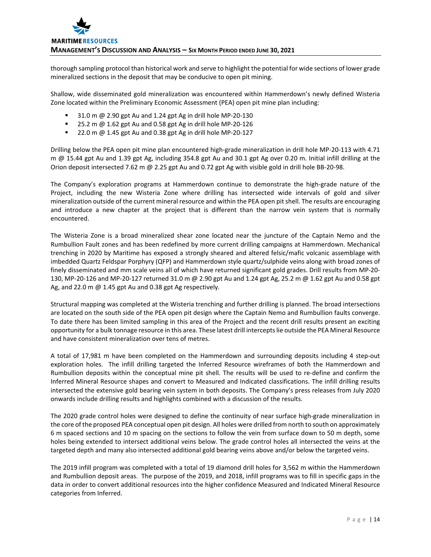thorough sampling protocol than historical work and serve to highlight the potential for wide sections of lower grade mineralized sections in the deposit that may be conducive to open pit mining.

Shallow, wide disseminated gold mineralization was encountered within Hammerdown's newly defined Wisteria Zone located within the Preliminary Economic Assessment (PEA) open pit mine plan including:

- 31.0 m @ 2.90 gpt Au and 1.24 gpt Ag in drill hole MP‐20‐130
- 25.2 m @ 1.62 gpt Au and 0.58 gpt Ag in drill hole MP-20-126
- 22.0 m @ 1.45 gpt Au and 0.38 gpt Ag in drill hole MP‐20‐127

Drilling below the PEA open pit mine plan encountered high‐grade mineralization in drill hole MP‐20‐113 with 4.71 m @ 15.44 gpt Au and 1.39 gpt Ag, including 354.8 gpt Au and 30.1 gpt Ag over 0.20 m. Initial infill drilling at the Orion deposit intersected 7.62 m @ 2.25 gpt Au and 0.72 gpt Ag with visible gold in drill hole BB-20-98.

The Company's exploration programs at Hammerdown continue to demonstrate the high‐grade nature of the Project, including the new Wisteria Zone where drilling has intersected wide intervals of gold and silver mineralization outside of the current mineral resource and within the PEA open pitshell. The results are encouraging and introduce a new chapter at the project that is different than the narrow vein system that is normally encountered.

The Wisteria Zone is a broad mineralized shear zone located near the juncture of the Captain Nemo and the Rumbullion Fault zones and has been redefined by more current drilling campaigns at Hammerdown. Mechanical trenching in 2020 by Maritime has exposed a strongly sheared and altered felsic/mafic volcanic assemblage with imbedded Quartz Feldspar Porphyry (QFP) and Hammerdown style quartz/sulphide veins along with broad zones of finely disseminated and mm scale veins all of which have returned significant gold grades. Drill results from MP‐20‐ 130, MP‐20‐126 and MP‐20‐127 returned 31.0 m @ 2.90 gpt Au and 1.24 gpt Ag, 25.2 m @ 1.62 gpt Au and 0.58 gpt Ag, and 22.0 m @ 1.45 gpt Au and 0.38 gpt Ag respectively.

Structural mapping was completed at the Wisteria trenching and further drilling is planned. The broad intersections are located on the south side of the PEA open pit design where the Captain Nemo and Rumbullion faults converge. To date there has been limited sampling in this area of the Project and the recent drill results present an exciting opportunity for a bulk tonnage resource in this area. These latest drill interceptslie outside the PEA Mineral Resource and have consistent mineralization over tens of metres.

A total of 17,981 m have been completed on the Hammerdown and surrounding deposits including 4 step‐out exploration holes. The infill drilling targeted the Inferred Resource wireframes of both the Hammerdown and Rumbullion deposits within the conceptual mine pit shell. The results will be used to re‐define and confirm the Inferred Mineral Resource shapes and convert to Measured and Indicated classifications. The infill drilling results intersected the extensive gold bearing vein system in both deposits. The Company's press releases from July 2020 onwards include drilling results and highlights combined with a discussion of the results.

The 2020 grade control holes were designed to define the continuity of near surface high‐grade mineralization in the core of the proposed PEA conceptual open pit design. All holes were drilled from north to south on approximately 6 m spaced sections and 10 m spacing on the sections to follow the vein from surface down to 50 m depth, some holes being extended to intersect additional veins below. The grade control holes all intersected the veins at the targeted depth and many also intersected additional gold bearing veins above and/or below the targeted veins.

The 2019 infill program was completed with a total of 19 diamond drill holes for 3,562 m within the Hammerdown and Rumbullion deposit areas. The purpose of the 2019, and 2018, infill programs was to fill in specific gaps in the data in order to convert additional resources into the higher confidence Measured and Indicated Mineral Resource categories from Inferred.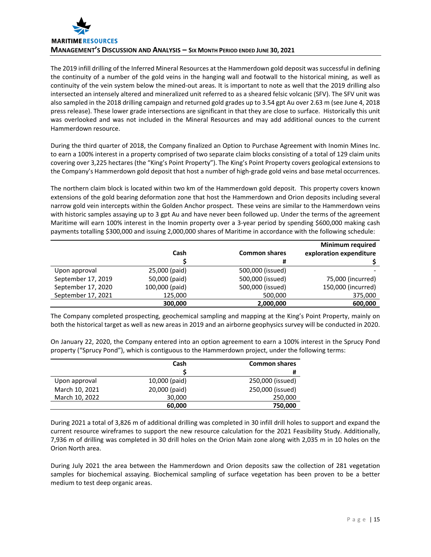

The 2019 infill drilling of the Inferred Mineral Resources at the Hammerdown gold deposit was successful in defining the continuity of a number of the gold veins in the hanging wall and footwall to the historical mining, as well as continuity of the vein system below the mined‐out areas. It is important to note as well that the 2019 drilling also intersected an intensely altered and mineralized unit referred to as a sheared felsic volcanic (SFV). The SFV unit was also sampled in the 2018 drilling campaign and returned gold grades up to 3.54 gpt Au over 2.63 m (see June 4, 2018 press release). These lower grade intersections are significant in that they are close to surface. Historically this unit was overlooked and was not included in the Mineral Resources and may add additional ounces to the current Hammerdown resource.

During the third quarter of 2018, the Company finalized an Option to Purchase Agreement with Inomin Mines Inc. to earn a 100% interest in a property comprised of two separate claim blocks consisting of a total of 129 claim units covering over 3,225 hectares (the "King's Point Property"). The King's Point Property covers geological extensions to the Company's Hammerdown gold deposit that host a number of high‐grade gold veins and base metal occurrences.

The northern claim block is located within two km of the Hammerdown gold deposit. This property covers known extensions of the gold bearing deformation zone that host the Hammerdown and Orion deposits including several narrow gold vein intercepts within the Golden Anchor prospect. These veins are similar to the Hammerdown veins with historic samples assaying up to 3 gpt Au and have never been followed up. Under the terms of the agreement Maritime will earn 100% interest in the Inomin property over a 3-year period by spending \$600,000 making cash payments totalling \$300,000 and issuing 2,000,000 shares of Maritime in accordance with the following schedule:

|                    |                |                      | <b>Minimum required</b> |
|--------------------|----------------|----------------------|-------------------------|
|                    | Cash           | <b>Common shares</b> | exploration expenditure |
|                    |                |                      |                         |
| Upon approval      | 25,000 (paid)  | 500,000 (issued)     |                         |
| September 17, 2019 | 50,000 (paid)  | 500,000 (issued)     | 75,000 (incurred)       |
| September 17, 2020 | 100,000 (paid) | 500,000 (issued)     | 150,000 (incurred)      |
| September 17, 2021 | 125,000        | 500,000              | 375,000                 |
|                    | 300,000        | 2,000,000            | 600,000                 |

The Company completed prospecting, geochemical sampling and mapping at the King's Point Property, mainly on both the historical target as well as new areas in 2019 and an airborne geophysics survey will be conducted in 2020.

On January 22, 2020, the Company entered into an option agreement to earn a 100% interest in the Sprucy Pond property ("Sprucy Pond"), which is contiguous to the Hammerdown project, under the following terms:

|                | Cash          | <b>Common shares</b> |
|----------------|---------------|----------------------|
|                |               | #                    |
| Upon approval  | 10,000 (paid) | 250,000 (issued)     |
| March 10, 2021 | 20,000 (paid) | 250,000 (issued)     |
| March 10, 2022 | 30,000        | 250,000              |
|                | 60,000        | 750,000              |

During 2021 a total of 3,826 m of additional drilling was completed in 30 infill drill holes to support and expand the current resource wireframes to support the new resource calculation for the 2021 Feasibility Study. Additionally, 7,936 m of drilling was completed in 30 drill holes on the Orion Main zone along with 2,035 m in 10 holes on the Orion North area.

During July 2021 the area between the Hammerdown and Orion deposits saw the collection of 281 vegetation samples for biochemical assaying. Biochemical sampling of surface vegetation has been proven to be a better medium to test deep organic areas.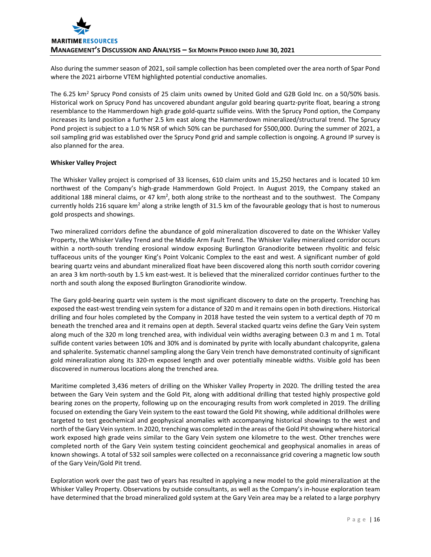

Also during the summer season of 2021, soil sample collection has been completed over the area north of Spar Pond where the 2021 airborne VTEM highlighted potential conductive anomalies.

The 6.25 km<sup>2</sup> Sprucy Pond consists of 25 claim units owned by United Gold and G2B Gold Inc. on a 50/50% basis. Historical work on Sprucy Pond has uncovered abundant angular gold bearing quartz‐pyrite float, bearing a strong resemblance to the Hammerdown high grade gold‐quartz sulfide veins. With the Sprucy Pond option, the Company increases its land position a further 2.5 km east along the Hammerdown mineralized/structural trend. The Sprucy Pond project is subject to a 1.0 % NSR of which 50% can be purchased for \$500,000. During the summer of 2021, a soil sampling grid was established over the Sprucy Pond grid and sample collection is ongoing. A ground IP survey is also planned for the area.

## **Whisker Valley Project**

The Whisker Valley project is comprised of 33 licenses, 610 claim units and 15,250 hectares and is located 10 km northwest of the Company's high-grade Hammerdown Gold Project. In August 2019, the Company staked an additional 188 mineral claims, or 47 km<sup>2</sup>, both along strike to the northeast and to the southwest. The Company currently holds 216 square km<sup>2</sup> along a strike length of 31.5 km of the favourable geology that is host to numerous gold prospects and showings.

Two mineralized corridors define the abundance of gold mineralization discovered to date on the Whisker Valley Property, the Whisker Valley Trend and the Middle Arm Fault Trend. The Whisker Valley mineralized corridor occurs within a north-south trending erosional window exposing Burlington Granodiorite between rhyolitic and felsic tuffaceous units of the younger King's Point Volcanic Complex to the east and west. A significant number of gold bearing quartz veins and abundant mineralized float have been discovered along this north south corridor covering an area 3 km north-south by 1.5 km east-west. It is believed that the mineralized corridor continues further to the north and south along the exposed Burlington Granodiorite window.

The Gary gold‐bearing quartz vein system is the most significant discovery to date on the property. Trenching has exposed the east‐west trending vein system for a distance of 320 m and it remains open in both directions. Historical drilling and four holes completed by the Company in 2018 have tested the vein system to a vertical depth of 70 m beneath the trenched area and it remains open at depth. Several stacked quartz veins define the Gary Vein system along much of the 320 m long trenched area, with individual vein widths averaging between 0.3 m and 1 m. Total sulfide content varies between 10% and 30% and is dominated by pyrite with locally abundant chalcopyrite, galena and sphalerite. Systematic channel sampling along the Gary Vein trench have demonstrated continuity of significant gold mineralization along its 320‐m exposed length and over potentially mineable widths. Visible gold has been discovered in numerous locations along the trenched area.

Maritime completed 3,436 meters of drilling on the Whisker Valley Property in 2020. The drilling tested the area between the Gary Vein system and the Gold Pit, along with additional drilling that tested highly prospective gold bearing zones on the property, following up on the encouraging results from work completed in 2019. The drilling focused on extending the Gary Vein system to the east toward the Gold Pit showing, while additional drillholes were targeted to test geochemical and geophysical anomalies with accompanying historical showings to the west and north of the Gary Vein system. In 2020, trenching was completed in the areas of the Gold Pit showing where historical work exposed high grade veins similar to the Gary Vein system one kilometre to the west. Other trenches were completed north of the Gary Vein system testing coincident geochemical and geophysical anomalies in areas of known showings. A total of 532 soil samples were collected on a reconnaissance grid covering a magnetic low south of the Gary Vein/Gold Pit trend.

Exploration work over the past two of years has resulted in applying a new model to the gold mineralization at the Whisker Valley Property. Observations by outside consultants, as well as the Company's in‐house exploration team have determined that the broad mineralized gold system at the Gary Vein area may be a related to a large porphyry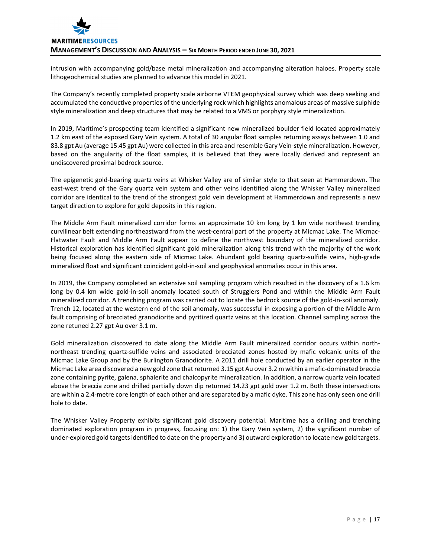intrusion with accompanying gold/base metal mineralization and accompanying alteration haloes. Property scale lithogeochemical studies are planned to advance this model in 2021.

The Company's recently completed property scale airborne VTEM geophysical survey which was deep seeking and accumulated the conductive properties of the underlying rock which highlights anomalous areas of massive sulphide style mineralization and deep structures that may be related to a VMS or porphyry style mineralization.

In 2019, Maritime's prospecting team identified a significant new mineralized boulder field located approximately 1.2 km east of the exposed Gary Vein system. A total of 30 angular float samples returning assays between 1.0 and 83.8 gpt Au (average 15.45 gpt Au) were collected in this area and resemble Gary Vein-style mineralization. However, based on the angularity of the float samples, it is believed that they were locally derived and represent an undiscovered proximal bedrock source.

The epigenetic gold‐bearing quartz veins at Whisker Valley are of similar style to that seen at Hammerdown. The east-west trend of the Gary quartz vein system and other veins identified along the Whisker Valley mineralized corridor are identical to the trend of the strongest gold vein development at Hammerdown and represents a new target direction to explore for gold deposits in this region.

The Middle Arm Fault mineralized corridor forms an approximate 10 km long by 1 km wide northeast trending curvilinear belt extending northeastward from the west-central part of the property at Micmac Lake. The Micmac-Flatwater Fault and Middle Arm Fault appear to define the northwest boundary of the mineralized corridor. Historical exploration has identified significant gold mineralization along this trend with the majority of the work being focused along the eastern side of Micmac Lake. Abundant gold bearing quartz-sulfide veins, high-grade mineralized float and significant coincident gold‐in‐soil and geophysical anomalies occur in this area.

In 2019, the Company completed an extensive soil sampling program which resulted in the discovery of a 1.6 km long by 0.4 km wide gold-in-soil anomaly located south of Strugglers Pond and within the Middle Arm Fault mineralized corridor. A trenching program was carried out to locate the bedrock source of the gold‐in‐soil anomaly. Trench 12, located at the western end of the soil anomaly, was successful in exposing a portion of the Middle Arm fault comprising of brecciated granodiorite and pyritized quartz veins at this location. Channel sampling across the zone retuned 2.27 gpt Au over 3.1 m.

Gold mineralization discovered to date along the Middle Arm Fault mineralized corridor occurs within north‐ northeast trending quartz‐sulfide veins and associated brecciated zones hosted by mafic volcanic units of the Micmac Lake Group and by the Burlington Granodiorite. A 2011 drill hole conducted by an earlier operator in the Micmac Lake area discovered a new gold zone that returned 3.15 gpt Au over 3.2 m within a mafic-dominated breccia zone containing pyrite, galena, sphalerite and chalcopyrite mineralization. In addition, a narrow quartz vein located above the breccia zone and drilled partially down dip returned 14.23 gpt gold over 1.2 m. Both these intersections are within a 2.4‐metre core length of each other and are separated by a mafic dyke. This zone has only seen one drill hole to date.

The Whisker Valley Property exhibits significant gold discovery potential. Maritime has a drilling and trenching dominated exploration program in progress, focusing on: 1) the Gary Vein system, 2) the significant number of under‐explored gold targetsidentified to date on the property and 3) outward exploration to locate new gold targets.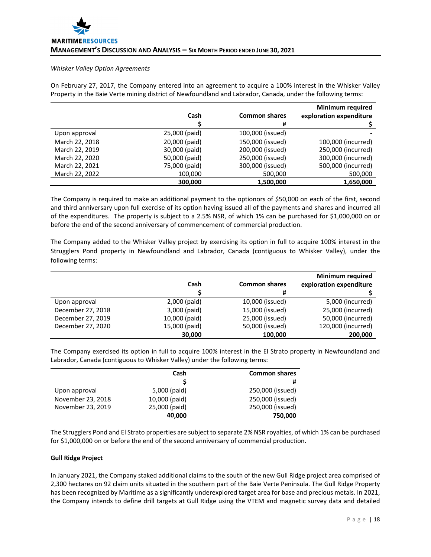#### *Whisker Valley Option Agreements*

On February 27, 2017, the Company entered into an agreement to acquire a 100% interest in the Whisker Valley Property in the Baie Verte mining district of Newfoundland and Labrador, Canada, under the following terms:

|                |               |                      | <b>Minimum required</b> |
|----------------|---------------|----------------------|-------------------------|
|                | Cash          | <b>Common shares</b> | exploration expenditure |
|                |               | #                    |                         |
| Upon approval  | 25,000 (paid) | 100,000 (issued)     |                         |
| March 22, 2018 | 20,000 (paid) | 150,000 (issued)     | 100,000 (incurred)      |
| March 22, 2019 | 30,000 (paid) | 200,000 (issued)     | 250,000 (incurred)      |
| March 22, 2020 | 50,000 (paid) | 250,000 (issued)     | 300,000 (incurred)      |
| March 22, 2021 | 75,000 (paid) | 300,000 (issued)     | 500,000 (incurred)      |
| March 22, 2022 | 100,000       | 500,000              | 500,000                 |
|                | 300.000       | 1,500,000            | 1,650,000               |

The Company is required to make an additional payment to the optionors of \$50,000 on each of the first, second and third anniversary upon full exercise of its option having issued all of the payments and shares and incurred all of the expenditures. The property is subject to a 2.5% NSR, of which 1% can be purchased for \$1,000,000 on or before the end of the second anniversary of commencement of commercial production.

The Company added to the Whisker Valley project by exercising its option in full to acquire 100% interest in the Strugglers Pond property in Newfoundland and Labrador, Canada (contiguous to Whisker Valley), under the following terms:

|                   |               |                      | <b>Minimum required</b> |
|-------------------|---------------|----------------------|-------------------------|
|                   | Cash          | <b>Common shares</b> | exploration expenditure |
|                   |               |                      |                         |
| Upon approval     | 2,000 (paid)  | 10,000 (issued)      | 5,000 (incurred)        |
| December 27, 2018 | 3,000 (paid)  | 15,000 (issued)      | 25,000 (incurred)       |
| December 27, 2019 | 10,000 (paid) | 25,000 (issued)      | 50,000 (incurred)       |
| December 27, 2020 | 15,000 (paid) | 50,000 (issued)      | 120,000 (incurred)      |
|                   | 30,000        | 100,000              | 200,000                 |

The Company exercised its option in full to acquire 100% interest in the El Strato property in Newfoundland and Labrador, Canada (contiguous to Whisker Valley) under the following terms:

|                   | Cash          | <b>Common shares</b> |
|-------------------|---------------|----------------------|
|                   |               | #                    |
| Upon approval     | 5,000 (paid)  | 250,000 (issued)     |
| November 23, 2018 | 10,000 (paid) | 250,000 (issued)     |
| November 23, 2019 | 25,000 (paid) | 250,000 (issued)     |
|                   | 40,000        | 750,000              |

The Strugglers Pond and El Strato properties are subject to separate 2% NSR royalties, of which 1% can be purchased for \$1,000,000 on or before the end of the second anniversary of commercial production.

## **Gull Ridge Project**

In January 2021, the Company staked additional claims to the south of the new Gull Ridge project area comprised of 2,300 hectares on 92 claim units situated in the southern part of the Baie Verte Peninsula. The Gull Ridge Property has been recognized by Maritime as a significantly underexplored target area for base and precious metals. In 2021, the Company intends to define drill targets at Gull Ridge using the VTEM and magnetic survey data and detailed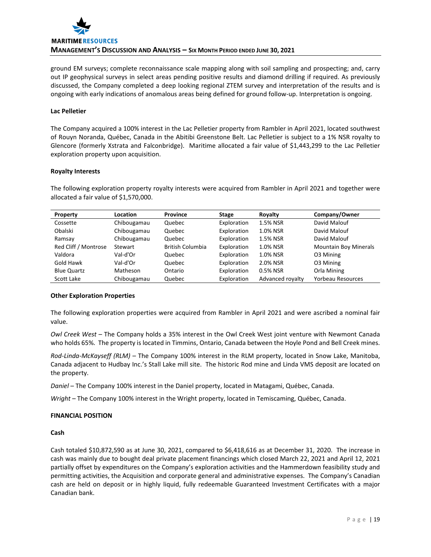

ground EM surveys; complete reconnaissance scale mapping along with soil sampling and prospecting; and, carry out IP geophysical surveys in select areas pending positive results and diamond drilling if required. As previously discussed, the Company completed a deep looking regional ZTEM survey and interpretation of the results and is ongoing with early indications of anomalous areas being defined for ground follow‐up. Interpretation is ongoing.

## **Lac Pelletier**

The Company acquired a 100% interest in the Lac Pelletier property from Rambler in April 2021, located southwest of Rouyn Noranda, Québec, Canada in the Abitibi Greenstone Belt. Lac Pelletier is subject to a 1% NSR royalty to Glencore (formerly Xstrata and Falconbridge). Maritime allocated a fair value of \$1,443,299 to the Lac Pelletier exploration property upon acquisition.

#### **Royalty Interests**

The following exploration property royalty interests were acquired from Rambler in April 2021 and together were allocated a fair value of \$1,570,000.

| Property             | Location    | <b>Province</b>         | <b>Stage</b> | Royalty          | Company/Owner                |
|----------------------|-------------|-------------------------|--------------|------------------|------------------------------|
| Cossette             | Chibougamau | Quebec                  | Exploration  | 1.5% NSR         | David Malouf                 |
| Obalski              | Chibougamau | Quebec                  | Exploration  | 1.0% NSR         | David Malouf                 |
| Ramsay               | Chibougamau | Quebec                  | Exploration  | 1.5% NSR         | David Malouf                 |
| Red Cliff / Montrose | Stewart     | <b>British Columbia</b> | Exploration  | 1.0% NSR         | <b>Mountain Boy Minerals</b> |
| Valdora              | Val-d'Or    | Quebec                  | Exploration  | 1.0% NSR         | O3 Mining                    |
| Gold Hawk            | Val-d'Or    | Quebec                  | Exploration  | 2.0% NSR         | 03 Mining                    |
| <b>Blue Quartz</b>   | Matheson    | Ontario                 | Exploration  | 0.5% NSR         | Orla Mining                  |
| Scott Lake           | Chibougamau | Quebec                  | Exploration  | Advanced royalty | <b>Yorbeau Resources</b>     |

## **Other Exploration Properties**

The following exploration properties were acquired from Rambler in April 2021 and were ascribed a nominal fair value.

*Owl Creek West* – The Company holds a 35% interest in the Owl Creek West joint venture with Newmont Canada who holds 65%. The property is located in Timmins, Ontario, Canada between the Hoyle Pond and Bell Creek mines.

*Rod‐Linda‐McKayseff (RLM)* – The Company 100% interest in the RLM property, located in Snow Lake, Manitoba, Canada adjacent to Hudbay Inc.'s Stall Lake mill site. The historic Rod mine and Linda VMS deposit are located on the property.

*Daniel* – The Company 100% interest in the Daniel property, located in Matagami, Québec, Canada.

*Wright* – The Company 100% interest in the Wright property, located in Temiscaming, Québec, Canada.

## **FINANCIAL POSITION**

## **Cash**

Cash totaled \$10,872,590 as at June 30, 2021, compared to \$6,418,616 as at December 31, 2020. The increase in cash was mainly due to bought deal private placement financings which closed March 22, 2021 and April 12, 2021 partially offset by expenditures on the Company's exploration activities and the Hammerdown feasibility study and permitting activities, the Acquisition and corporate general and administrative expenses. The Company's Canadian cash are held on deposit or in highly liquid, fully redeemable Guaranteed Investment Certificates with a major Canadian bank.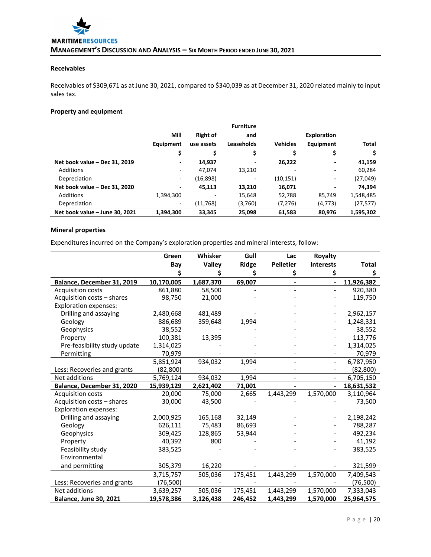# **Receivables**

Receivables of \$309,671 as at June 30, 2021, compared to \$340,039 as at December 31, 2020 related mainly to input sales tax.

# **Property and equipment**

|                                | <b>Furniture</b>         |                 |                   |                 |                          |           |  |
|--------------------------------|--------------------------|-----------------|-------------------|-----------------|--------------------------|-----------|--|
|                                | Mill                     | <b>Right of</b> | and               |                 | <b>Exploration</b>       |           |  |
|                                | Equipment                | use assets      | <b>Leaseholds</b> | <b>Vehicles</b> | Equipment                | Total     |  |
|                                | \$                       | \$              |                   |                 | \$                       |           |  |
| Net book value - Dec 31, 2019  | $\overline{\phantom{0}}$ | 14.937          | ٠                 | 26,222          | $\blacksquare$           | 41,159    |  |
| Additions                      | -                        | 47,074          | 13,210            |                 | $\overline{\phantom{0}}$ | 60,284    |  |
| Depreciation                   | ٠                        | (16, 898)       | -                 | (10, 151)       | -                        | (27, 049) |  |
| Net book value - Dec 31, 2020  |                          | 45.113          | 13.210            | 16,071          |                          | 74.394    |  |
| <b>Additions</b>               | 1,394,300                |                 | 15,648            | 52,788          | 85,749                   | 1,548,485 |  |
| Depreciation                   | ٠                        | (11,768)        | (3,760)           | (7, 276)        | (4, 773)                 | (27, 577) |  |
| Net book value - June 30, 2021 | 1,394,300                | 33,345          | 25,098            | 61,583          | 80,976                   | 1,595,302 |  |

# **Mineral properties**

Expenditures incurred on the Company's exploration properties and mineral interests, follow:

|                               | Green      | Whisker   | Gull    | Lac              | Royalty                  |              |
|-------------------------------|------------|-----------|---------|------------------|--------------------------|--------------|
|                               | Bay        | Valley    | Ridge   | <b>Pelletier</b> | <b>Interests</b>         | <b>Total</b> |
|                               |            | \$        | \$      | \$               | \$                       | \$           |
| Balance, December 31, 2019    | 10,170,005 | 1,687,370 | 69,007  | $\blacksquare$   | $\overline{\phantom{a}}$ | 11,926,382   |
| <b>Acquisition costs</b>      | 861,880    | 58,500    |         |                  |                          | 920,380      |
| Acquisition costs - shares    | 98,750     | 21,000    |         |                  |                          | 119,750      |
| <b>Exploration expenses:</b>  |            |           |         |                  |                          |              |
| Drilling and assaying         | 2,480,668  | 481,489   |         |                  |                          | 2,962,157    |
| Geology                       | 886,689    | 359,648   | 1,994   |                  |                          | 1,248,331    |
| Geophysics                    | 38,552     |           |         |                  |                          | 38,552       |
| Property                      | 100,381    | 13,395    |         |                  |                          | 113,776      |
| Pre-feasibility study update  | 1,314,025  |           |         |                  |                          | 1,314,025    |
| Permitting                    | 70,979     |           |         |                  |                          | 70,979       |
|                               | 5,851,924  | 934,032   | 1,994   |                  | $\overline{\phantom{a}}$ | 6,787,950    |
| Less: Recoveries and grants   | (82,800)   |           |         |                  | $\overline{\phantom{a}}$ | (82,800)     |
| Net additions                 | 5,769,124  | 934,032   | 1,994   |                  |                          | 6,705,150    |
| Balance, December 31, 2020    | 15,939,129 | 2,621,402 | 71,001  |                  | $\overline{\phantom{a}}$ | 18,631,532   |
| <b>Acquisition costs</b>      | 20,000     | 75,000    | 2,665   | 1,443,299        | 1,570,000                | 3,110,964    |
| Acquisition costs - shares    | 30,000     | 43,500    |         |                  |                          | 73,500       |
| <b>Exploration expenses:</b>  |            |           |         |                  |                          |              |
| Drilling and assaying         | 2,000,925  | 165,168   | 32,149  |                  |                          | 2,198,242    |
| Geology                       | 626,111    | 75,483    | 86,693  |                  |                          | 788,287      |
| Geophysics                    | 309,425    | 128,865   | 53,944  |                  |                          | 492,234      |
| Property                      | 40,392     | 800       |         |                  |                          | 41,192       |
| Feasibility study             | 383,525    |           |         |                  |                          | 383,525      |
| Environmental                 |            |           |         |                  |                          |              |
| and permitting                | 305,379    | 16,220    |         |                  |                          | 321,599      |
|                               | 3,715,757  | 505,036   | 175,451 | 1,443,299        | 1,570,000                | 7,409,543    |
| Less: Recoveries and grants   | (76, 500)  |           |         |                  |                          | (76, 500)    |
| Net additions                 | 3,639,257  | 505,036   | 175,451 | 1,443,299        | 1,570,000                | 7,333,043    |
| <b>Balance, June 30, 2021</b> | 19,578,386 | 3,126,438 | 246,452 | 1,443,299        | 1,570,000                | 25,964,575   |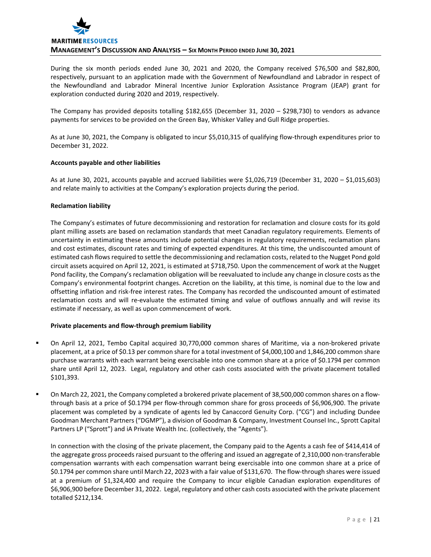

During the six month periods ended June 30, 2021 and 2020, the Company received \$76,500 and \$82,800, respectively, pursuant to an application made with the Government of Newfoundland and Labrador in respect of the Newfoundland and Labrador Mineral Incentive Junior Exploration Assistance Program (JEAP) grant for exploration conducted during 2020 and 2019, respectively.

The Company has provided deposits totalling \$182,655 (December 31, 2020 – \$298,730) to vendors as advance payments for services to be provided on the Green Bay, Whisker Valley and Gull Ridge properties.

As at June 30, 2021, the Company is obligated to incur \$5,010,315 of qualifying flow‐through expenditures prior to December 31, 2022.

## **Accounts payable and other liabilities**

As at June 30, 2021, accounts payable and accrued liabilities were \$1,026,719 (December 31, 2020 – \$1,015,603) and relate mainly to activities at the Company's exploration projects during the period.

## **Reclamation liability**

The Company's estimates of future decommissioning and restoration for reclamation and closure costs for its gold plant milling assets are based on reclamation standards that meet Canadian regulatory requirements. Elements of uncertainty in estimating these amounts include potential changes in regulatory requirements, reclamation plans and cost estimates, discount rates and timing of expected expenditures. At this time, the undiscounted amount of estimated cash flows required to settle the decommissioning and reclamation costs, related to the Nugget Pond gold circuit assets acquired on April 12, 2021, is estimated at \$718,750. Upon the commencement of work at the Nugget Pond facility, the Company's reclamation obligation will be reevaluated to include any change in closure costs as the Company's environmental footprint changes. Accretion on the liability, at this time, is nominal due to the low and offsetting inflation and risk‐free interest rates. The Company has recorded the undiscounted amount of estimated reclamation costs and will re‐evaluate the estimated timing and value of outflows annually and will revise its estimate if necessary, as well as upon commencement of work.

## **Private placements and flow‐through premium liability**

- On April 12, 2021, Tembo Capital acquired 30,770,000 common shares of Maritime, via a non-brokered private placement, at a price of \$0.13 per common share for a total investment of \$4,000,100 and 1,846,200 common share purchase warrants with each warrant being exercisable into one common share at a price of \$0.1794 per common share until April 12, 2023. Legal, regulatory and other cash costs associated with the private placement totalled \$101,393.
- On March 22, 2021, the Company completed a brokered private placement of 38,500,000 common shares on a flowthrough basis at a price of \$0.1794 per flow‐through common share for gross proceeds of \$6,906,900. The private placement was completed by a syndicate of agents led by Canaccord Genuity Corp. ("CG") and including Dundee Goodman Merchant Partners ("DGMP"), a division of Goodman & Company, Investment Counsel Inc., Sprott Capital Partners LP ("Sprott") and iA Private Wealth Inc. (collectively, the "Agents").

In connection with the closing of the private placement, the Company paid to the Agents a cash fee of \$414,414 of the aggregate gross proceeds raised pursuant to the offering and issued an aggregate of 2,310,000 non‐transferable compensation warrants with each compensation warrant being exercisable into one common share at a price of \$0.1794 per common share until March 22, 2023 with a fair value of \$131,670. The flow‐through shares were issued at a premium of \$1,324,400 and require the Company to incur eligible Canadian exploration expenditures of \$6,906,900 before December 31, 2022. Legal, regulatory and other cash costs associated with the private placement totalled \$212,134.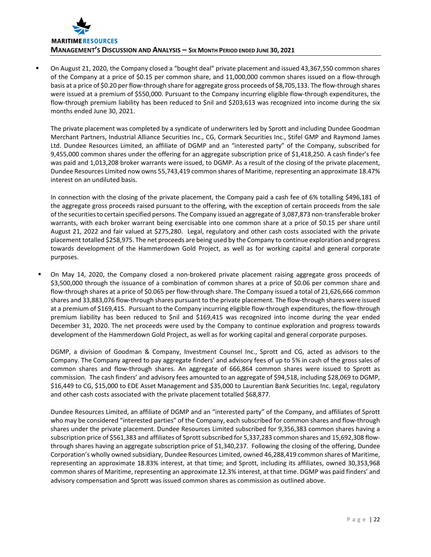

 On August 21, 2020, the Company closed a "bought deal" private placement and issued 43,367,550 common shares of the Company at a price of \$0.15 per common share, and 11,000,000 common shares issued on a flow‐through basis at a price of \$0.20 per flow-through share for aggregate gross proceeds of \$8,705,133. The flow-through shares were issued at a premium of \$550,000. Pursuant to the Company incurring eligible flow-through expenditures, the flow-through premium liability has been reduced to \$nil and \$203,613 was recognized into income during the six months ended June 30, 2021.

The private placement was completed by a syndicate of underwriters led by Sprott and including Dundee Goodman Merchant Partners, Industrial Alliance Securities Inc., CG, Cormark Securities Inc., Stifel GMP and Raymond James Ltd. Dundee Resources Limited, an affiliate of DGMP and an "interested party" of the Company, subscribed for 9,455,000 common shares under the offering for an aggregate subscription price of \$1,418,250. A cash finder's fee was paid and 1,013,208 broker warrants were issued, to DGMP. As a result of the closing of the private placement, Dundee Resources Limited now owns 55,743,419 common shares of Maritime, representing an approximate 18.47% interest on an undiluted basis.

In connection with the closing of the private placement, the Company paid a cash fee of 6% totalling \$496,181 of the aggregate gross proceeds raised pursuant to the offering, with the exception of certain proceeds from the sale of the securitiesto certain specified persons. The Company issued an aggregate of 3,087,873 non‐transferable broker warrants, with each broker warrant being exercisable into one common share at a price of \$0.15 per share until August 21, 2022 and fair valued at \$275,280. Legal, regulatory and other cash costs associated with the private placement totalled \$258,975. The net proceeds are being used by the Company to continue exploration and progress towards development of the Hammerdown Gold Project, as well as for working capital and general corporate purposes.

 On May 14, 2020, the Company closed a non‐brokered private placement raising aggregate gross proceeds of \$3,500,000 through the issuance of a combination of common shares at a price of \$0.06 per common share and flow-through shares at a price of \$0.065 per flow-through share. The Company issued a total of 21,626,666 common shares and 33,883,076 flow-through shares pursuant to the private placement. The flow-through shares were issued at a premium of \$169,415. Pursuant to the Company incurring eligible flow‐through expenditures, the flow‐through premium liability has been reduced to \$nil and \$169,415 was recognized into income during the year ended December 31, 2020. The net proceeds were used by the Company to continue exploration and progress towards development of the Hammerdown Gold Project, as well as for working capital and general corporate purposes.

DGMP, a division of Goodman & Company, Investment Counsel Inc., Sprott and CG, acted as advisors to the Company. The Company agreed to pay aggregate finders' and advisory fees of up to 5% in cash of the gross sales of common shares and flow‐through shares. An aggregate of 666,864 common shares were issued to Sprott as commission. The cash finders' and advisory fees amounted to an aggregate of \$94,518, including \$28,069 to DGMP, \$16,449 to CG, \$15,000 to EDE Asset Management and \$35,000 to Laurentian Bank Securities Inc. Legal, regulatory and other cash costs associated with the private placement totalled \$68,877.

Dundee Resources Limited, an affiliate of DGMP and an "interested party" of the Company, and affiliates of Sprott who may be considered "interested parties" of the Company, each subscribed for common shares and flow‐through shares under the private placement. Dundee Resources Limited subscribed for 9,356,383 common shares having a subscription price of \$561,383 and affiliates of Sprott subscribed for 5,337,283 common shares and 15,692,308 flowthrough shares having an aggregate subscription price of \$1,340,237. Following the closing of the offering, Dundee Corporation's wholly owned subsidiary, Dundee Resources Limited, owned 46,288,419 common shares of Maritime, representing an approximate 18.83% interest, at that time; and Sprott, including its affiliates, owned 30,353,968 common shares of Maritime, representing an approximate 12.3% interest, at that time. DGMP was paid finders' and advisory compensation and Sprott was issued common shares as commission as outlined above.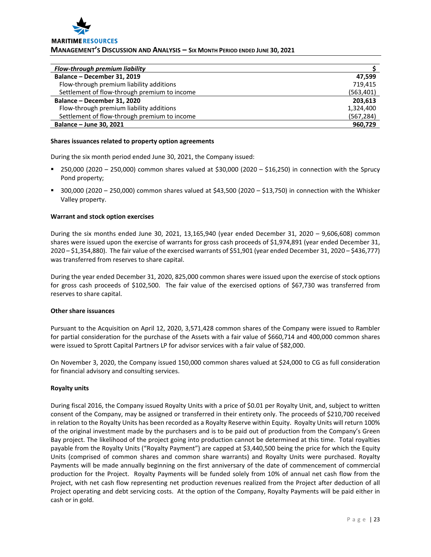

## **MANAGEMENT'S DISCUSSION AND ANALYSIS – SIX MONTH PERIOD ENDED JUNE 30, 2021**

| Flow-through premium liability               |            |
|----------------------------------------------|------------|
| Balance - December 31, 2019                  | 47.599     |
| Flow-through premium liability additions     | 719.415    |
| Settlement of flow-through premium to income | (563, 401) |
| Balance - December 31, 2020                  | 203,613    |
| Flow-through premium liability additions     | 1,324,400  |
| Settlement of flow-through premium to income | (567, 284) |
| Balance - June 30, 2021                      | 960,729    |

#### **Shares issuances related to property option agreements**

During the six month period ended June 30, 2021, the Company issued:

- 250,000 (2020 250,000) common shares valued at \$30,000 (2020 \$16,250) in connection with the Sprucy Pond property;
- $=$  300,000 (2020 250,000) common shares valued at \$43,500 (2020 \$13,750) in connection with the Whisker Valley property.

## **Warrant and stock option exercises**

During the six months ended June 30, 2021, 13,165,940 (year ended December 31, 2020 – 9,606,608) common shares were issued upon the exercise of warrants for gross cash proceeds of \$1,974,891 (year ended December 31, 2020 – \$1,354,880). The fair value of the exercised warrants of \$51,901 (year ended December 31, 2020 – \$436,777) was transferred from reserves to share capital.

During the year ended December 31, 2020, 825,000 common shares were issued upon the exercise of stock options for gross cash proceeds of \$102,500. The fair value of the exercised options of \$67,730 was transferred from reserves to share capital.

## **Other share issuances**

Pursuant to the Acquisition on April 12, 2020, 3,571,428 common shares of the Company were issued to Rambler for partial consideration for the purchase of the Assets with a fair value of \$660,714 and 400,000 common shares were issued to Sprott Capital Partners LP for advisor services with a fair value of \$82,000.

On November 3, 2020, the Company issued 150,000 common shares valued at \$24,000 to CG as full consideration for financial advisory and consulting services.

## **Royalty units**

During fiscal 2016, the Company issued Royalty Units with a price of \$0.01 per Royalty Unit, and, subject to written consent of the Company, may be assigned or transferred in their entirety only. The proceeds of \$210,700 received in relation to the Royalty Units has been recorded as a Royalty Reserve within Equity. Royalty Units will return 100% of the original investment made by the purchasers and is to be paid out of production from the Company's Green Bay project. The likelihood of the project going into production cannot be determined at this time. Total royalties payable from the Royalty Units ("Royalty Payment") are capped at \$3,440,500 being the price for which the Equity Units (comprised of common shares and common share warrants) and Royalty Units were purchased. Royalty Payments will be made annually beginning on the first anniversary of the date of commencement of commercial production for the Project. Royalty Payments will be funded solely from 10% of annual net cash flow from the Project, with net cash flow representing net production revenues realized from the Project after deduction of all Project operating and debt servicing costs. At the option of the Company, Royalty Payments will be paid either in cash or in gold.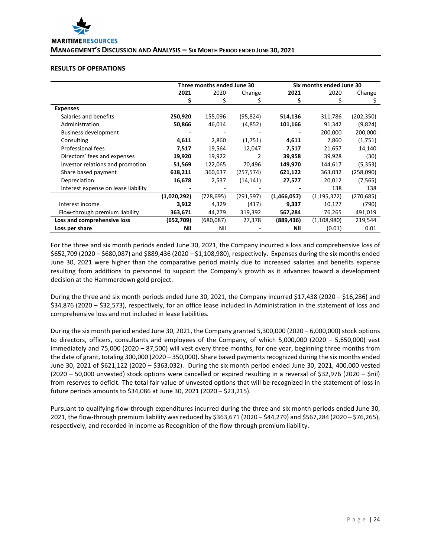

## **RESULTS OF OPERATIONS**

|                                     | Three months ended June 30 |           |           | Six months ended June 30 |               |            |
|-------------------------------------|----------------------------|-----------|-----------|--------------------------|---------------|------------|
|                                     | 2021                       | 2020      | Change    | 2021                     | 2020          | Change     |
|                                     | S                          |           |           | \$                       |               |            |
| <b>Expenses</b>                     |                            |           |           |                          |               |            |
| Salaries and benefits               | 250,920                    | 155,096   | (95, 824) | 514,136                  | 311,786       | (202, 350) |
| Administration                      | 50,866                     | 46,014    | (4,852)   | 101,166                  | 91,342        | (9,824)    |
| <b>Business development</b>         |                            |           |           |                          | 200,000       | 200,000    |
| Consulting                          | 4,611                      | 2,860     | (1,751)   | 4,611                    | 2,860         | (1,751)    |
| Professional fees                   | 7,517                      | 19,564    | 12,047    | 7,517                    | 21,657        | 14,140     |
| Directors' fees and expenses        | 19,920                     | 19,922    | 2         | 39,958                   | 39,928        | (30)       |
| Investor relations and promotion    | 51,569                     | 122,065   | 70,496    | 149,970                  | 144,617       | (5, 353)   |
| Share based payment                 | 618,211                    | 360,637   | (257,574) | 621,122                  | 363,032       | (258,090)  |
| Depreciation                        | 16,678                     | 2,537     | (14, 141) | 27,577                   | 20,012        | (7, 565)   |
| Interest expense on lease liability |                            |           |           |                          | 138           | 138        |
|                                     | (1,020,292)                | (728,695) | (291,597) | (1,466,057)              | (1, 195, 372) | (270,685)  |
| Interest income                     | 3,912                      | 4,329     | (417)     | 9,337                    | 10,127        | (790)      |
| Flow-through premium liability      | 363,671                    | 44,279    | 319,392   | 567,284                  | 76,265        | 491,019    |
| Loss and comprehensive loss         | (652,709)                  | (680,087) | 27,378    | (889, 436)               | (1, 108, 980) | 219,544    |
| Loss per share                      | Nil                        | Nil       |           | Nil                      | (0.01)        | 0.01       |

For the three and six month periods ended June 30, 2021, the Company incurred a loss and comprehensive loss of \$652,709 (2020 – \$680,087) and \$889,436 (2020 – \$1,108,980), respectively. Expenses during the six months ended June 30, 2021 were higher than the comparative period mainly due to increased salaries and benefits expense resulting from additions to personnel to support the Company's growth as it advances toward a development decision at the Hammerdown gold project.

During the three and six month periods ended June 30, 2021, the Company incurred \$17,438 (2020 – \$16,286) and \$34,876 (2020 – \$32,573), respectively, for an office lease included in Administration in the statement of loss and comprehensive loss and not included in lease liabilities.

During the six month period ended June 30, 2021, the Company granted 5,300,000 (2020 – 6,000,000) stock options to directors, officers, consultants and employees of the Company, of which 5,000,000 (2020 – 5,650,000) vest immediately and 75,000 (2020 – 87,500) will vest every three months, for one year, beginning three months from the date of grant, totaling 300,000 (2020 – 350,000). Share based payments recognized during the six months ended June 30, 2021 of \$621,122 (2020 – \$363,032). During the six month period ended June 30, 2021, 400,000 vested (2020 – 50,000 unvested) stock options were cancelled or expired resulting in a reversal of \$32,976 (2020 – \$nil) from reserves to deficit. The total fair value of unvested options that will be recognized in the statement of loss in future periods amounts to \$34,086 at June 30, 2021 (2020 – \$23,215).

Pursuant to qualifying flow‐through expenditures incurred during the three and six month periods ended June 30, 2021, the flow-through premium liability was reduced by \$363,671 (2020 – \$44,279) and \$567,284 (2020 – \$76,265), respectively, and recorded in income as Recognition of the flow-through premium liability.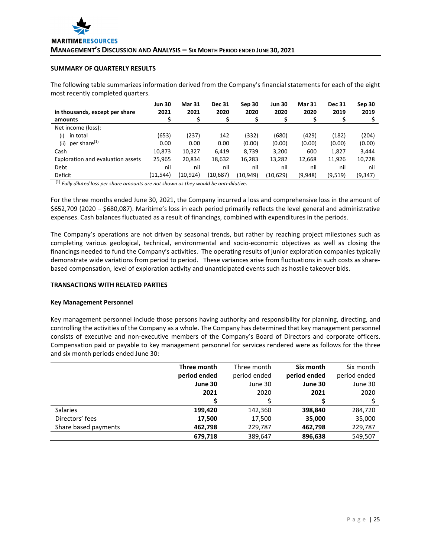## **SUMMARY OF QUARTERLY RESULTS**

The following table summarizes information derived from the Company's financial statements for each of the eight most recently completed quarters.

| in thousands, except per share    | <b>Jun 30</b><br>2021 | <b>Mar 31</b><br>2021 | <b>Dec 31</b><br>2020 | Sep 30<br>2020 | <b>Jun 30</b><br>2020 | <b>Mar 31</b><br>2020 | <b>Dec 31</b><br>2019 | Sep 30<br>2019 |
|-----------------------------------|-----------------------|-----------------------|-----------------------|----------------|-----------------------|-----------------------|-----------------------|----------------|
| amounts                           |                       |                       | \$                    |                | S                     |                       |                       |                |
| Net income (loss):                |                       |                       |                       |                |                       |                       |                       |                |
| in total<br>(i)                   | (653)                 | (237)                 | 142                   | (332)          | (680)                 | (429)                 | (182)                 | (204)          |
| per share <sup>(1)</sup><br>(ii)  | 0.00                  | 0.00                  | 0.00                  | (0.00)         | (0.00)                | (0.00)                | (0.00)                | (0.00)         |
| Cash                              | 10,873                | 10,327                | 6,419                 | 8,739          | 3,200                 | 600                   | 1,827                 | 3,444          |
| Exploration and evaluation assets | 25,965                | 20,834                | 18,632                | 16,283         | 13,282                | 12,668                | 11,926                | 10,728         |
| Debt                              | nil                   | nil                   | nil                   | nil            | nil                   | nil                   | nil                   | nil            |
| Deficit                           | (11,544)              | (10, 924)             | (10,687)              | (10,949)       | (10, 629)             | (9,948)               | (9,519)               | (9,347)        |

(1) *Fully diluted loss per share amounts are not shown as they would be anti‐dilutive*.

For the three months ended June 30, 2021, the Company incurred a loss and comprehensive loss in the amount of \$652,709 (2020 – \$680,087). Maritime's loss in each period primarily reflects the level general and administrative expenses. Cash balances fluctuated as a result of financings, combined with expenditures in the periods.

The Company's operations are not driven by seasonal trends, but rather by reaching project milestones such as completing various geological, technical, environmental and socio-economic objectives as well as closing the financings needed to fund the Company's activities. The operating results of junior exploration companies typically demonstrate wide variations from period to period. These variances arise from fluctuations in such costs as share‐ based compensation, level of exploration activity and unanticipated events such as hostile takeover bids.

## **TRANSACTIONS WITH RELATED PARTIES**

#### **Key Management Personnel**

Key management personnel include those persons having authority and responsibility for planning, directing, and controlling the activities of the Company as a whole. The Company has determined that key management personnel consists of executive and non-executive members of the Company's Board of Directors and corporate officers. Compensation paid or payable to key management personnel for services rendered were as follows for the three and six month periods ended June 30:

|                      | Three month  | Three month  | Six month    | Six month    |
|----------------------|--------------|--------------|--------------|--------------|
|                      | period ended | period ended | period ended | period ended |
|                      | June 30      | June 30      | June 30      | June 30      |
|                      | 2021         | 2020         | 2021         | 2020         |
|                      |              |              |              |              |
| Salaries             | 199,420      | 142,360      | 398,840      | 284,720      |
| Directors' fees      | 17,500       | 17,500       | 35,000       | 35,000       |
| Share based payments | 462,798      | 229,787      | 462,798      | 229,787      |
|                      | 679.718      | 389.647      | 896.638      | 549,507      |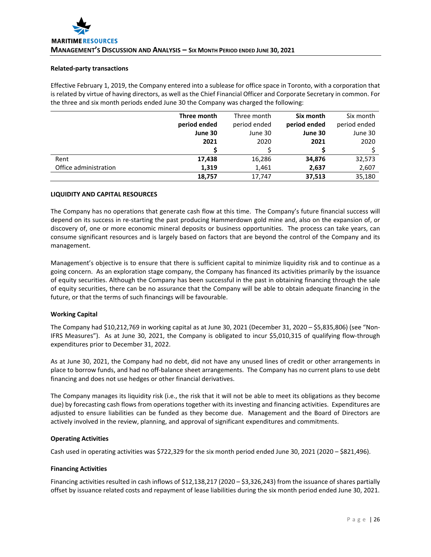#### **Related‐party transactions**

Effective February 1, 2019, the Company entered into a sublease for office space in Toronto, with a corporation that is related by virtue of having directors, as well as the Chief Financial Officer and Corporate Secretary in common. For the three and six month periods ended June 30 the Company was charged the following:

|                       | Three month  | Three month  | Six month    | Six month    |
|-----------------------|--------------|--------------|--------------|--------------|
|                       | period ended | period ended | period ended | period ended |
|                       | June 30      | June 30      | June 30      | June 30      |
|                       | 2021         | 2020         | 2021         | 2020         |
|                       |              |              |              |              |
| Rent                  | 17,438       | 16,286       | 34,876       | 32,573       |
| Office administration | 1,319        | 1,461        | 2,637        | 2,607        |
|                       | 18,757       | 17,747       | 37,513       | 35,180       |

## **LIQUIDITY AND CAPITAL RESOURCES**

The Company has no operations that generate cash flow at this time. The Company's future financial success will depend on its success in re‐starting the past producing Hammerdown gold mine and, also on the expansion of, or discovery of, one or more economic mineral deposits or business opportunities. The process can take years, can consume significant resources and is largely based on factors that are beyond the control of the Company and its management.

Management's objective is to ensure that there is sufficient capital to minimize liquidity risk and to continue as a going concern. As an exploration stage company, the Company has financed its activities primarily by the issuance of equity securities. Although the Company has been successful in the past in obtaining financing through the sale of equity securities, there can be no assurance that the Company will be able to obtain adequate financing in the future, or that the terms of such financings will be favourable.

## **Working Capital**

The Company had \$10,212,769 in working capital as at June 30, 2021 (December 31, 2020 – \$5,835,806) (see "Non‐ IFRS Measures"). As at June 30, 2021, the Company is obligated to incur \$5,010,315 of qualifying flow‐through expenditures prior to December 31, 2022.

As at June 30, 2021, the Company had no debt, did not have any unused lines of credit or other arrangements in place to borrow funds, and had no off‐balance sheet arrangements. The Company has no current plans to use debt financing and does not use hedges or other financial derivatives.

The Company manages its liquidity risk (i.e., the risk that it will not be able to meet its obligations as they become due) by forecasting cash flows from operations together with its investing and financing activities. Expenditures are adjusted to ensure liabilities can be funded as they become due. Management and the Board of Directors are actively involved in the review, planning, and approval of significant expenditures and commitments.

## **Operating Activities**

Cash used in operating activities was \$722,329 for the six month period ended June 30, 2021 (2020 – \$821,496).

## **Financing Activities**

Financing activities resulted in cash inflows of \$12,138,217 (2020 – \$3,326,243) from the issuance of shares partially offset by issuance related costs and repayment of lease liabilities during the six month period ended June 30, 2021.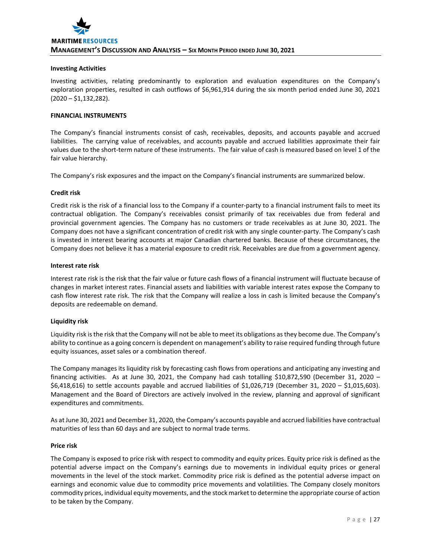#### **Investing Activities**

Investing activities, relating predominantly to exploration and evaluation expenditures on the Company's exploration properties, resulted in cash outflows of \$6,961,914 during the six month period ended June 30, 2021 (2020 – \$1,132,282).

## **FINANCIAL INSTRUMENTS**

The Company's financial instruments consist of cash, receivables, deposits, and accounts payable and accrued liabilities. The carrying value of receivables, and accounts payable and accrued liabilities approximate their fair values due to the short‐term nature of these instruments. The fair value of cash is measured based on level 1 of the fair value hierarchy.

The Company's risk exposures and the impact on the Company's financial instruments are summarized below.

#### **Credit risk**

Credit risk is the risk of a financial loss to the Company if a counter‐party to a financial instrument fails to meet its contractual obligation. The Company's receivables consist primarily of tax receivables due from federal and provincial government agencies. The Company has no customers or trade receivables as at June 30, 2021. The Company does not have a significant concentration of credit risk with any single counter‐party. The Company's cash is invested in interest bearing accounts at major Canadian chartered banks. Because of these circumstances, the Company does not believe it has a material exposure to credit risk. Receivables are due from a government agency.

#### **Interest rate risk**

Interest rate risk is the risk that the fair value or future cash flows of a financial instrument will fluctuate because of changes in market interest rates. Financial assets and liabilities with variable interest rates expose the Company to cash flow interest rate risk. The risk that the Company will realize a loss in cash is limited because the Company's deposits are redeemable on demand.

## **Liquidity risk**

Liquidity risk isthe risk that the Company will not be able to meet its obligations asthey become due. The Company's ability to continue as a going concern is dependent on management's ability to raise required funding through future equity issuances, asset sales or a combination thereof.

The Company manages its liquidity risk by forecasting cash flows from operations and anticipating any investing and financing activities. As at June 30, 2021, the Company had cash totalling \$10,872,590 (December 31, 2020 – \$6,418,616) to settle accounts payable and accrued liabilities of \$1,026,719 (December 31, 2020 – \$1,015,603). Management and the Board of Directors are actively involved in the review, planning and approval of significant expenditures and commitments.

As at June 30, 2021 and December 31, 2020, the Company's accounts payable and accrued liabilities have contractual maturities of less than 60 days and are subject to normal trade terms.

#### **Price risk**

The Company is exposed to price risk with respect to commodity and equity prices. Equity price risk is defined as the potential adverse impact on the Company's earnings due to movements in individual equity prices or general movements in the level of the stock market. Commodity price risk is defined as the potential adverse impact on earnings and economic value due to commodity price movements and volatilities. The Company closely monitors commodity prices, individual equity movements, and the stock market to determine the appropriate course of action to be taken by the Company.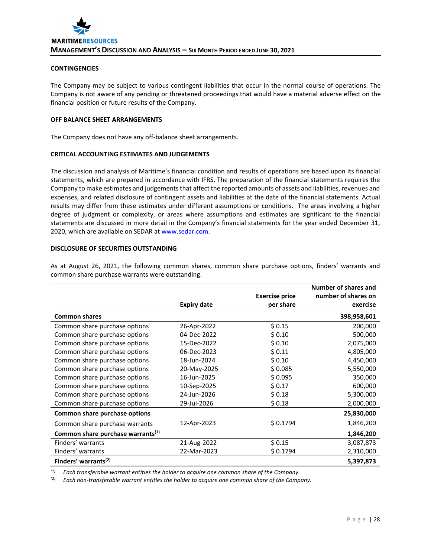#### **CONTINGENCIES**

The Company may be subject to various contingent liabilities that occur in the normal course of operations. The Company is not aware of any pending or threatened proceedings that would have a material adverse effect on the financial position or future results of the Company.

# **OFF BALANCE SHEET ARRANGEMENTS**

The Company does not have any off-balance sheet arrangements.

## **CRITICAL ACCOUNTING ESTIMATES AND JUDGEMENTS**

The discussion and analysis of Maritime's financial condition and results of operations are based upon its financial statements, which are prepared in accordance with IFRS. The preparation of the financial statements requires the Company to make estimates and judgements that affect the reported amounts of assets and liabilities, revenues and expenses, and related disclosure of contingent assets and liabilities at the date of the financial statements. Actual results may differ from these estimates under different assumptions or conditions. The areas involving a higher degree of judgment or complexity, or areas where assumptions and estimates are significant to the financial statements are discussed in more detail in the Company's financial statements for the year ended December 31, 2020, which are available on SEDAR at www.sedar.com.

## **DISCLOSURE OF SECURITIES OUTSTANDING**

As at August 26, 2021, the following common shares, common share purchase options, finders' warrants and common share purchase warrants were outstanding.

|                                               |                    |                       | Number of shares and |
|-----------------------------------------------|--------------------|-----------------------|----------------------|
|                                               |                    | <b>Exercise price</b> | number of shares on  |
|                                               | <b>Expiry date</b> | per share             | exercise             |
| <b>Common shares</b>                          |                    |                       | 398,958,601          |
| Common share purchase options                 | 26-Apr-2022        | \$0.15                | 200,000              |
| Common share purchase options                 | 04-Dec-2022        | \$0.10                | 500,000              |
| Common share purchase options                 | 15-Dec-2022        | \$0.10                | 2,075,000            |
| Common share purchase options                 | 06-Dec-2023        | \$0.11                | 4,805,000            |
| Common share purchase options                 | 18-Jun-2024        | \$0.10                | 4,450,000            |
| Common share purchase options                 | 20-May-2025        | \$0.085               | 5,550,000            |
| Common share purchase options                 | 16-Jun-2025        | \$0.095               | 350,000              |
| Common share purchase options                 | 10-Sep-2025        | \$0.17                | 600,000              |
| Common share purchase options                 | 24-Jun-2026        | \$0.18                | 5,300,000            |
| Common share purchase options                 | 29-Jul-2026        | \$0.18                | 2,000,000            |
| Common share purchase options                 |                    |                       | 25,830,000           |
| Common share purchase warrants                | 12-Apr-2023        | \$0.1794              | 1,846,200            |
| Common share purchase warrants <sup>(1)</sup> |                    |                       | 1,846,200            |
| Finders' warrants                             | 21-Aug-2022        | \$0.15                | 3,087,873            |
| Finders' warrants                             | 22-Mar-2023        | \$0.1794              | 2,310,000            |
| Finders' warrants <sup>(2)</sup>              |                    |                       | 5,397,873            |

*(1) Each transferable warrant entitles the holder to acquire one common share of the Company.*

*(2) Each non‐transferable warrant entitles the holder to acquire one common share of the Company.*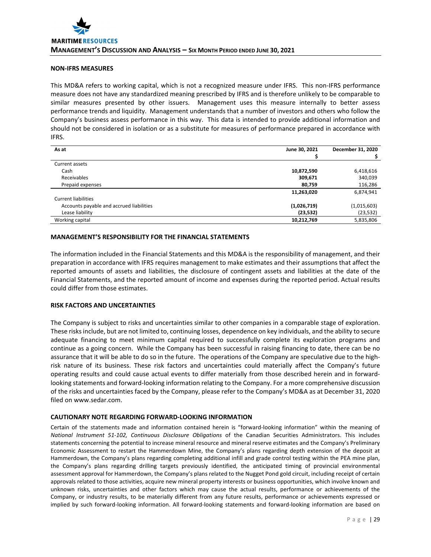## **NON‐IFRS MEASURES**

This MD&A refers to working capital, which is not a recognized measure under IFRS. This non‐IFRS performance measure does not have any standardized meaning prescribed by IFRS and is therefore unlikely to be comparable to similar measures presented by other issuers. Management uses this measure internally to better assess performance trends and liquidity. Management understands that a number of investors and others who follow the Company's business assess performance in this way. This data is intended to provide additional information and should not be considered in isolation or as a substitute for measures of performance prepared in accordance with IFRS.

| As at                                    | June 30, 2021 | December 31, 2020 |
|------------------------------------------|---------------|-------------------|
|                                          |               |                   |
| Current assets                           |               |                   |
| Cash                                     | 10,872,590    | 6,418,616         |
| Receivables                              | 309,671       | 340,039           |
| Prepaid expenses                         | 80,759        | 116,286           |
|                                          | 11,263,020    | 6,874,941         |
| <b>Current liabilities</b>               |               |                   |
| Accounts payable and accrued liabilities | (1,026,719)   | (1,015,603)       |
| Lease liability                          | (23, 532)     | (23, 532)         |
| Working capital                          | 10,212,769    | 5,835,806         |

# **MANAGEMENT'S RESPONSIBILITY FOR THE FINANCIAL STATEMENTS**

The information included in the Financial Statements and this MD&A is the responsibility of management, and their preparation in accordance with IFRS requires management to make estimates and their assumptions that affect the reported amounts of assets and liabilities, the disclosure of contingent assets and liabilities at the date of the Financial Statements, and the reported amount of income and expenses during the reported period. Actual results could differ from those estimates.

#### **RISK FACTORS AND UNCERTAINTIES**

The Company is subject to risks and uncertainties similar to other companies in a comparable stage of exploration. These risks include, but are not limited to, continuing losses, dependence on key individuals, and the ability to secure adequate financing to meet minimum capital required to successfully complete its exploration programs and continue as a going concern. While the Company has been successful in raising financing to date, there can be no assurance that it will be able to do so in the future. The operations of the Company are speculative due to the highrisk nature of its business. These risk factors and uncertainties could materially affect the Company's future operating results and could cause actual events to differ materially from those described herein and in forward‐ looking statements and forward‐looking information relating to the Company. For a more comprehensive discussion of the risks and uncertainties faced by the Company, please refer to the Company's MD&A as at December 31, 2020 filed on www.sedar.com.

## **CAUTIONARY NOTE REGARDING FORWARD‐LOOKING INFORMATION**

Certain of the statements made and information contained herein is "forward‐looking information" within the meaning of *National Instrument 51‐102, Continuous Disclosure Obligations* of the Canadian Securities Administrators. This includes statements concerning the potential to increase mineral resource and mineral reserve estimates and the Company's Preliminary Economic Assessment to restart the Hammerdown Mine, the Company's plans regarding depth extension of the deposit at Hammerdown, the Company's plans regarding completing additional infill and grade control testing within the PEA mine plan, the Company's plans regarding drilling targets previously identified, the anticipated timing of provincial environmental assessment approval for Hammerdown, the Company's plans related to the Nugget Pond gold circuit, including receipt of certain approvals related to those activities, acquire new mineral property interests or business opportunities, which involve known and unknown risks, uncertainties and other factors which may cause the actual results, performance or achievements of the Company, or industry results, to be materially different from any future results, performance or achievements expressed or implied by such forward-looking information. All forward-looking statements and forward-looking information are based on